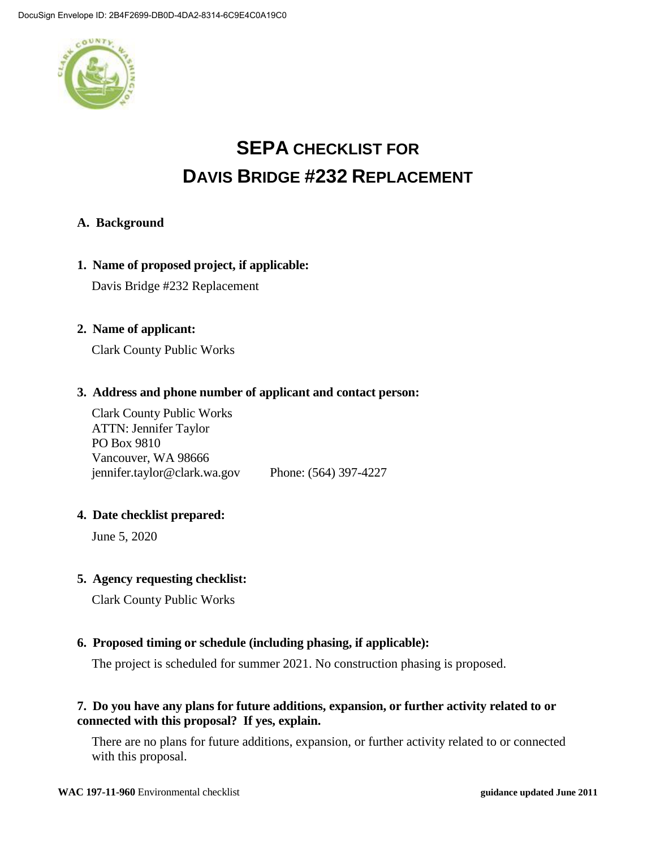

# **SEPA CHECKLIST FOR DAVIS BRIDGE #232 REPLACEMENT**

### **A. Background**

#### **1. Name of proposed project, if applicable:**

Davis Bridge #232 Replacement

#### **2. Name of applicant:**

Clark County Public Works

### **3. Address and phone number of applicant and contact person:**

Clark County Public Works ATTN: Jennifer Taylor PO Box 9810 Vancouver, WA 98666 jennifer.taylor@clark.wa.gov Phone: (564) 397-4227

#### **4. Date checklist prepared:**

June 5, 2020

#### **5. Agency requesting checklist:**

Clark County Public Works

### **6. Proposed timing or schedule (including phasing, if applicable):**

The project is scheduled for summer 2021. No construction phasing is proposed.

### **7. Do you have any plans for future additions, expansion, or further activity related to or connected with this proposal? If yes, explain.**

There are no plans for future additions, expansion, or further activity related to or connected with this proposal.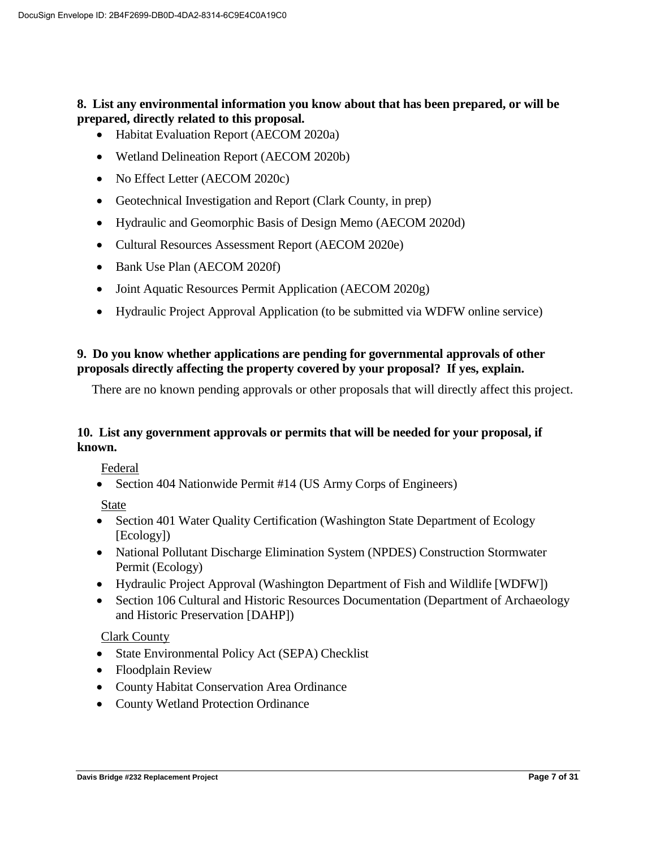### **8. List any environmental information you know about that has been prepared, or will be prepared, directly related to this proposal.**

- Habitat Evaluation Report (AECOM 2020a)
- Wetland Delineation Report (AECOM 2020b)
- No Effect Letter (AECOM 2020c)
- Geotechnical Investigation and Report (Clark County, in prep)
- Hydraulic and Geomorphic Basis of Design Memo (AECOM 2020d)
- Cultural Resources Assessment Report (AECOM 2020e)
- Bank Use Plan (AECOM 2020f)
- Joint Aquatic Resources Permit Application (AECOM 2020g)
- Hydraulic Project Approval Application (to be submitted via WDFW online service)

### **9. Do you know whether applications are pending for governmental approvals of other proposals directly affecting the property covered by your proposal? If yes, explain.**

There are no known pending approvals or other proposals that will directly affect this project.

### **10. List any government approvals or permits that will be needed for your proposal, if known.**

Federal

• Section 404 Nationwide Permit #14 (US Army Corps of Engineers)

State

- Section 401 Water Quality Certification (Washington State Department of Ecology [Ecology])
- National Pollutant Discharge Elimination System (NPDES) Construction Stormwater Permit (Ecology)
- Hydraulic Project Approval (Washington Department of Fish and Wildlife [WDFW])
- Section 106 Cultural and Historic Resources Documentation (Department of Archaeology and Historic Preservation [DAHP])

#### Clark County

- State Environmental Policy Act (SEPA) Checklist
- Floodplain Review
- County Habitat Conservation Area Ordinance
- County Wetland Protection Ordinance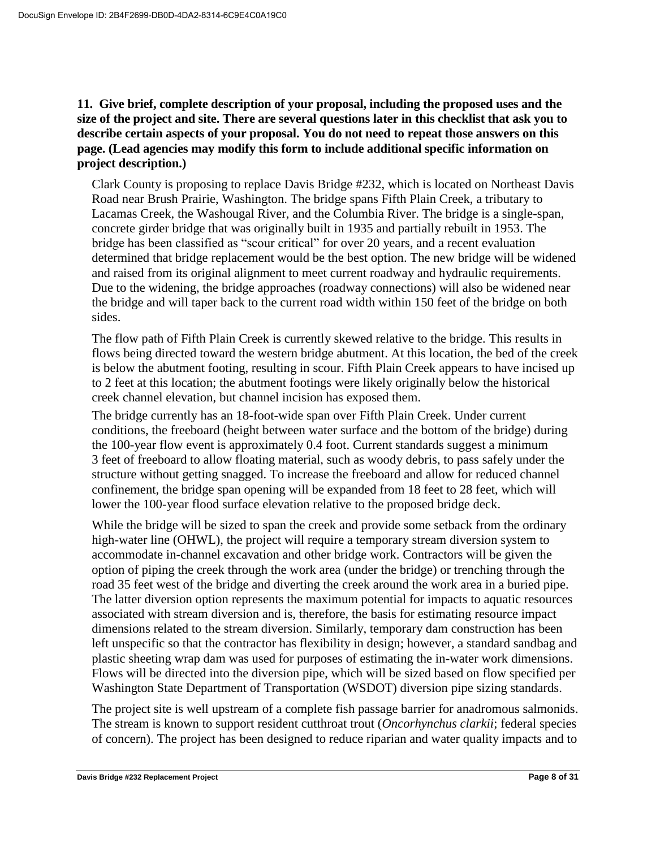**11. Give brief, complete description of your proposal, including the proposed uses and the size of the project and site. There are several questions later in this checklist that ask you to describe certain aspects of your proposal. You do not need to repeat those answers on this page. (Lead agencies may modify this form to include additional specific information on project description.)**

Clark County is proposing to replace Davis Bridge #232, which is located on Northeast Davis Road near Brush Prairie, Washington. The bridge spans Fifth Plain Creek, a tributary to Lacamas Creek, the Washougal River, and the Columbia River. The bridge is a single-span, concrete girder bridge that was originally built in 1935 and partially rebuilt in 1953. The bridge has been classified as "scour critical" for over 20 years, and a recent evaluation determined that bridge replacement would be the best option. The new bridge will be widened and raised from its original alignment to meet current roadway and hydraulic requirements. Due to the widening, the bridge approaches (roadway connections) will also be widened near the bridge and will taper back to the current road width within 150 feet of the bridge on both sides.

The flow path of Fifth Plain Creek is currently skewed relative to the bridge. This results in flows being directed toward the western bridge abutment. At this location, the bed of the creek is below the abutment footing, resulting in scour. Fifth Plain Creek appears to have incised up to 2 feet at this location; the abutment footings were likely originally below the historical creek channel elevation, but channel incision has exposed them.

The bridge currently has an 18-foot-wide span over Fifth Plain Creek. Under current conditions, the freeboard (height between water surface and the bottom of the bridge) during the 100-year flow event is approximately 0.4 foot. Current standards suggest a minimum 3 feet of freeboard to allow floating material, such as woody debris, to pass safely under the structure without getting snagged. To increase the freeboard and allow for reduced channel confinement, the bridge span opening will be expanded from 18 feet to 28 feet, which will lower the 100-year flood surface elevation relative to the proposed bridge deck.

While the bridge will be sized to span the creek and provide some setback from the ordinary high-water line (OHWL), the project will require a temporary stream diversion system to accommodate in-channel excavation and other bridge work. Contractors will be given the option of piping the creek through the work area (under the bridge) or trenching through the road 35 feet west of the bridge and diverting the creek around the work area in a buried pipe. The latter diversion option represents the maximum potential for impacts to aquatic resources associated with stream diversion and is, therefore, the basis for estimating resource impact dimensions related to the stream diversion. Similarly, temporary dam construction has been left unspecific so that the contractor has flexibility in design; however, a standard sandbag and plastic sheeting wrap dam was used for purposes of estimating the in-water work dimensions. Flows will be directed into the diversion pipe, which will be sized based on flow specified per Washington State Department of Transportation (WSDOT) diversion pipe sizing standards.

The project site is well upstream of a complete fish passage barrier for anadromous salmonids. The stream is known to support resident cutthroat trout (*Oncorhynchus clarkii*; federal species of concern). The project has been designed to reduce riparian and water quality impacts and to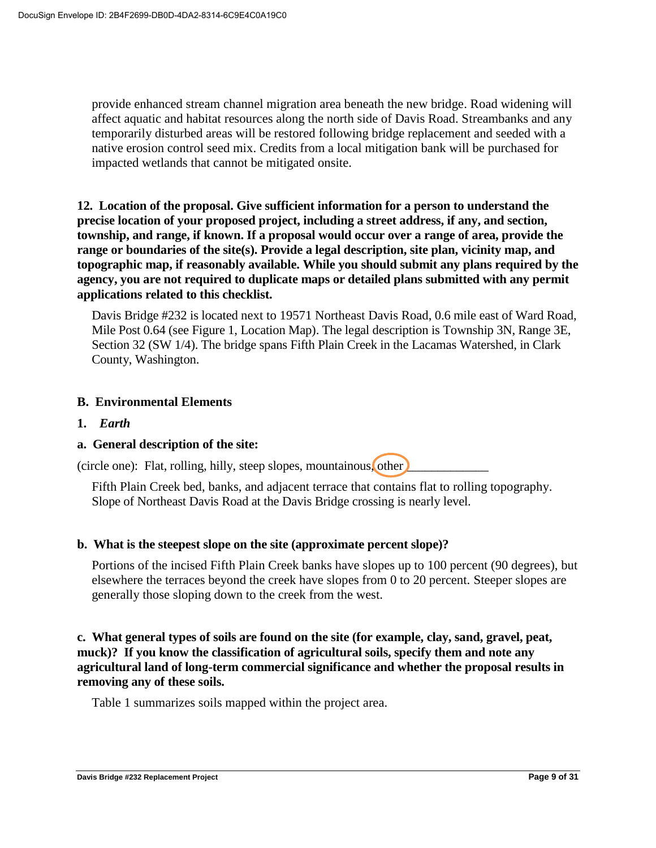provide enhanced stream channel migration area beneath the new bridge. Road widening will affect aquatic and habitat resources along the north side of Davis Road. Streambanks and any temporarily disturbed areas will be restored following bridge replacement and seeded with a native erosion control seed mix. Credits from a local mitigation bank will be purchased for impacted wetlands that cannot be mitigated onsite.

**12. Location of the proposal. Give sufficient information for a person to understand the precise location of your proposed project, including a street address, if any, and section, township, and range, if known. If a proposal would occur over a range of area, provide the range or boundaries of the site(s). Provide a legal description, site plan, vicinity map, and topographic map, if reasonably available. While you should submit any plans required by the agency, you are not required to duplicate maps or detailed plans submitted with any permit applications related to this checklist.**

Davis Bridge #232 is located next to 19571 Northeast Davis Road, 0.6 mile east of Ward Road, Mile Post 0.64 (see Figure 1, Location Map). The legal description is Township 3N, Range 3E, Section 32 (SW 1/4). The bridge spans Fifth Plain Creek in the Lacamas Watershed, in Clark County, Washington.

### **B. Environmental Elements**

**1.** *Earth*

### **a. General description of the site:**

(circle one): Flat, rolling, hilly, steep slopes, mountainous, other

Fifth Plain Creek bed, banks, and adjacent terrace that contains flat to rolling topography. Slope of Northeast Davis Road at the Davis Bridge crossing is nearly level.

#### **b. What is the steepest slope on the site (approximate percent slope)?**

Portions of the incised Fifth Plain Creek banks have slopes up to 100 percent (90 degrees), but elsewhere the terraces beyond the creek have slopes from 0 to 20 percent. Steeper slopes are generally those sloping down to the creek from the west.

**c. What general types of soils are found on the site (for example, clay, sand, gravel, peat, muck)? If you know the classification of agricultural soils, specify them and note any agricultural land of long-term commercial significance and whether the proposal results in removing any of these soils.**

Table 1 summarizes soils mapped within the project area.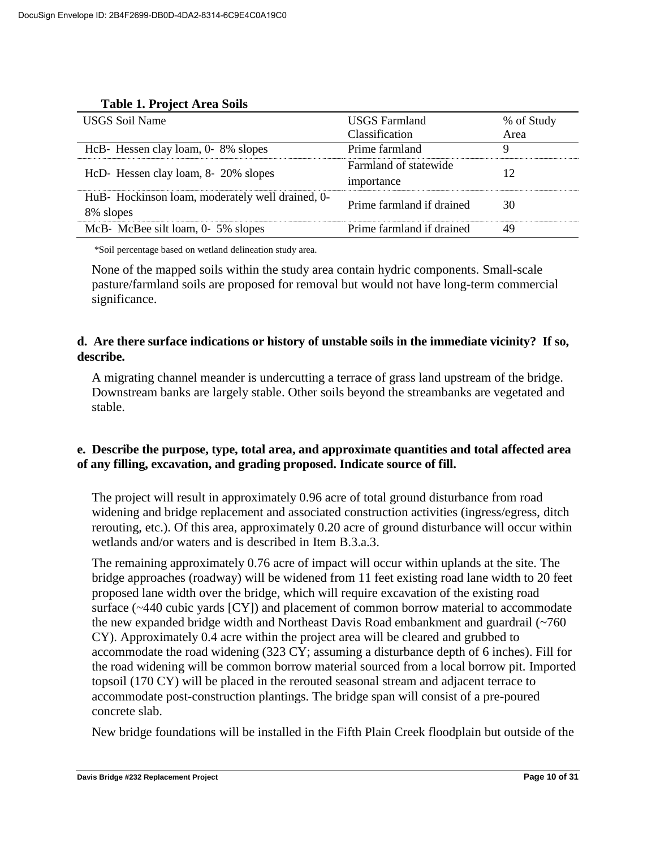| <b>USGS Soil Name</b>                                         | <b>USGS</b> Farmland<br>Classification | % of Study<br>Area |
|---------------------------------------------------------------|----------------------------------------|--------------------|
| HcB- Hessen clay loam, 0-8% slopes                            | Prime farmland                         | 9                  |
| HcD- Hessen clay loam, 8- 20% slopes                          | Farmland of statewide<br>importance    | 12                 |
| HuB- Hockinson loam, moderately well drained, 0-<br>8% slopes | Prime farmland if drained              | 30                 |
| McB-McBee silt loam, 0-5% slopes                              | Prime farmland if drained              | 49                 |

\*Soil percentage based on wetland delineation study area.

None of the mapped soils within the study area contain hydric components. Small-scale pasture/farmland soils are proposed for removal but would not have long-term commercial significance.

### **d. Are there surface indications or history of unstable soils in the immediate vicinity? If so, describe.**

A migrating channel meander is undercutting a terrace of grass land upstream of the bridge. Downstream banks are largely stable. Other soils beyond the streambanks are vegetated and stable.

### **e. Describe the purpose, type, total area, and approximate quantities and total affected area of any filling, excavation, and grading proposed. Indicate source of fill.**

The project will result in approximately 0.96 acre of total ground disturbance from road widening and bridge replacement and associated construction activities (ingress/egress, ditch rerouting, etc.). Of this area, approximately 0.20 acre of ground disturbance will occur within wetlands and/or waters and is described in Item B.3.a.3.

The remaining approximately 0.76 acre of impact will occur within uplands at the site. The bridge approaches (roadway) will be widened from 11 feet existing road lane width to 20 feet proposed lane width over the bridge, which will require excavation of the existing road surface (~440 cubic yards [CY]) and placement of common borrow material to accommodate the new expanded bridge width and Northeast Davis Road embankment and guardrail (~760 CY). Approximately 0.4 acre within the project area will be cleared and grubbed to accommodate the road widening (323 CY; assuming a disturbance depth of 6 inches). Fill for the road widening will be common borrow material sourced from a local borrow pit. Imported topsoil (170 CY) will be placed in the rerouted seasonal stream and adjacent terrace to accommodate post-construction plantings. The bridge span will consist of a pre-poured concrete slab.

New bridge foundations will be installed in the Fifth Plain Creek floodplain but outside of the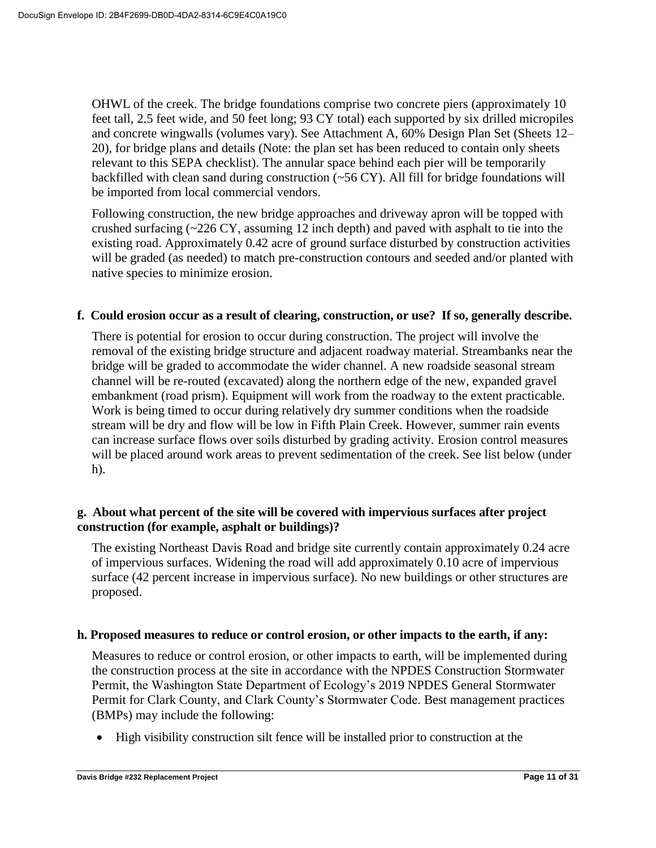OHWL of the creek. The bridge foundations comprise two concrete piers (approximately 10 feet tall, 2.5 feet wide, and 50 feet long; 93 CY total) each supported by six drilled micropiles and concrete wingwalls (volumes vary). See Attachment A, 60% Design Plan Set (Sheets 12– 20), for bridge plans and details (Note: the plan set has been reduced to contain only sheets relevant to this SEPA checklist). The annular space behind each pier will be temporarily backfilled with clean sand during construction  $(\sim 56 \text{ CY})$ . All fill for bridge foundations will be imported from local commercial vendors.

Following construction, the new bridge approaches and driveway apron will be topped with crushed surfacing  $\sim$  226 CY, assuming 12 inch depth) and paved with asphalt to tie into the existing road. Approximately 0.42 acre of ground surface disturbed by construction activities will be graded (as needed) to match pre-construction contours and seeded and/or planted with native species to minimize erosion.

### **f. Could erosion occur as a result of clearing, construction, or use? If so, generally describe.**

There is potential for erosion to occur during construction. The project will involve the removal of the existing bridge structure and adjacent roadway material. Streambanks near the bridge will be graded to accommodate the wider channel. A new roadside seasonal stream channel will be re-routed (excavated) along the northern edge of the new, expanded gravel embankment (road prism). Equipment will work from the roadway to the extent practicable. Work is being timed to occur during relatively dry summer conditions when the roadside stream will be dry and flow will be low in Fifth Plain Creek. However, summer rain events can increase surface flows over soils disturbed by grading activity. Erosion control measures will be placed around work areas to prevent sedimentation of the creek. See list below (under h).

### **g. About what percent of the site will be covered with impervious surfaces after project construction (for example, asphalt or buildings)?**

The existing Northeast Davis Road and bridge site currently contain approximately 0.24 acre of impervious surfaces. Widening the road will add approximately 0.10 acre of impervious surface (42 percent increase in impervious surface). No new buildings or other structures are proposed.

#### **h. Proposed measures to reduce or control erosion, or other impacts to the earth, if any:**

Measures to reduce or control erosion, or other impacts to earth, will be implemented during the construction process at the site in accordance with the NPDES Construction Stormwater Permit, the Washington State Department of Ecology's 2019 NPDES General Stormwater Permit for Clark County, and Clark County's Stormwater Code. Best management practices (BMPs) may include the following:

High visibility construction silt fence will be installed prior to construction at the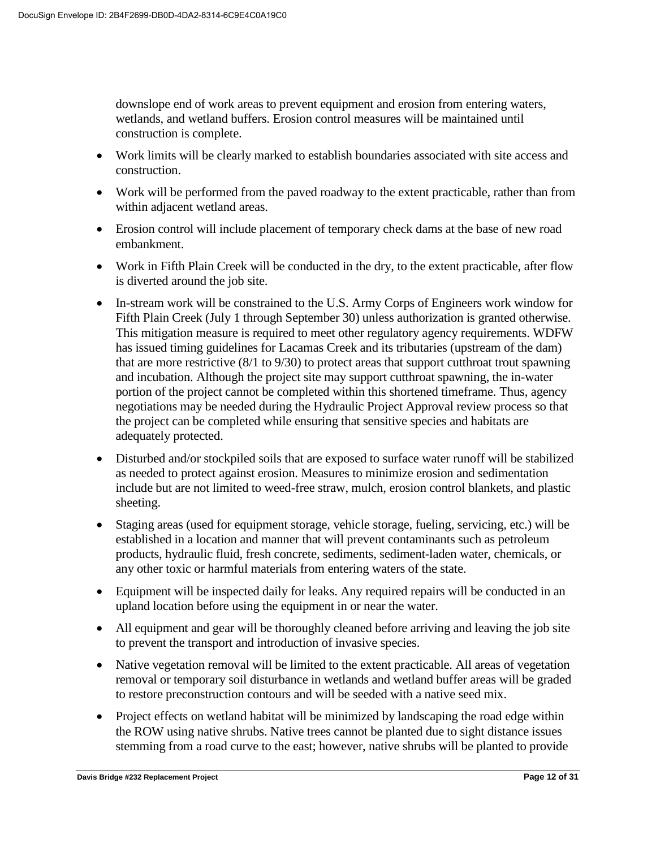downslope end of work areas to prevent equipment and erosion from entering waters, wetlands, and wetland buffers. Erosion control measures will be maintained until construction is complete.

- Work limits will be clearly marked to establish boundaries associated with site access and construction.
- Work will be performed from the paved roadway to the extent practicable, rather than from within adjacent wetland areas.
- Erosion control will include placement of temporary check dams at the base of new road embankment.
- Work in Fifth Plain Creek will be conducted in the dry, to the extent practicable, after flow is diverted around the job site.
- In-stream work will be constrained to the U.S. Army Corps of Engineers work window for Fifth Plain Creek (July 1 through September 30) unless authorization is granted otherwise. This mitigation measure is required to meet other regulatory agency requirements. WDFW has issued timing guidelines for Lacamas Creek and its tributaries (upstream of the dam) that are more restrictive (8/1 to 9/30) to protect areas that support cutthroat trout spawning and incubation. Although the project site may support cutthroat spawning, the in-water portion of the project cannot be completed within this shortened timeframe. Thus, agency negotiations may be needed during the Hydraulic Project Approval review process so that the project can be completed while ensuring that sensitive species and habitats are adequately protected.
- Disturbed and/or stockpiled soils that are exposed to surface water runoff will be stabilized as needed to protect against erosion. Measures to minimize erosion and sedimentation include but are not limited to weed-free straw, mulch, erosion control blankets, and plastic sheeting.
- Staging areas (used for equipment storage, vehicle storage, fueling, servicing, etc.) will be established in a location and manner that will prevent contaminants such as petroleum products, hydraulic fluid, fresh concrete, sediments, sediment-laden water, chemicals, or any other toxic or harmful materials from entering waters of the state.
- Equipment will be inspected daily for leaks. Any required repairs will be conducted in an upland location before using the equipment in or near the water.
- All equipment and gear will be thoroughly cleaned before arriving and leaving the job site to prevent the transport and introduction of invasive species.
- Native vegetation removal will be limited to the extent practicable. All areas of vegetation removal or temporary soil disturbance in wetlands and wetland buffer areas will be graded to restore preconstruction contours and will be seeded with a native seed mix.
- Project effects on wetland habitat will be minimized by landscaping the road edge within the ROW using native shrubs. Native trees cannot be planted due to sight distance issues stemming from a road curve to the east; however, native shrubs will be planted to provide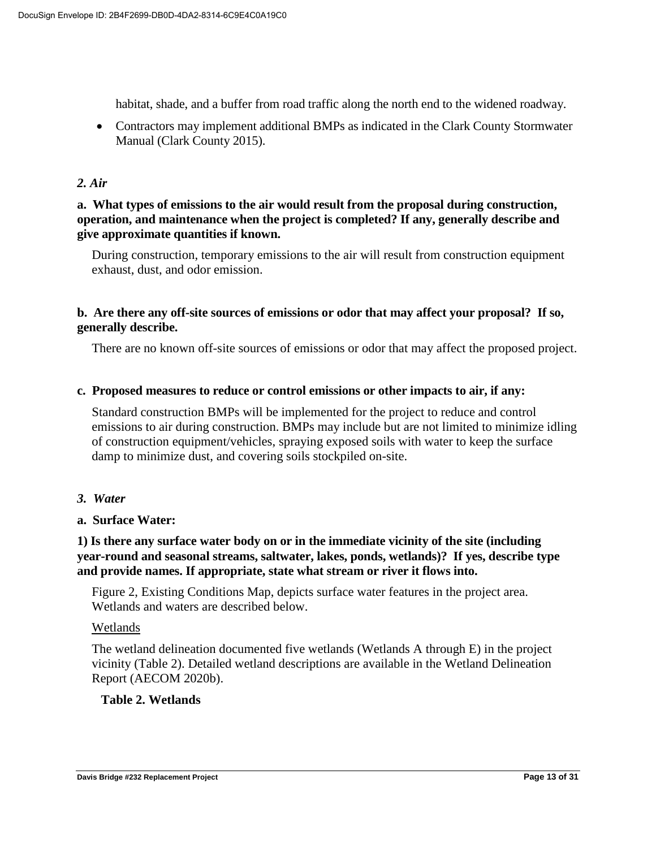habitat, shade, and a buffer from road traffic along the north end to the widened roadway.

 Contractors may implement additional BMPs as indicated in the Clark County Stormwater Manual (Clark County 2015).

### *2. Air*

### **a. What types of emissions to the air would result from the proposal during construction, operation, and maintenance when the project is completed? If any, generally describe and give approximate quantities if known.**

During construction, temporary emissions to the air will result from construction equipment exhaust, dust, and odor emission.

### **b. Are there any off-site sources of emissions or odor that may affect your proposal? If so, generally describe.**

There are no known off-site sources of emissions or odor that may affect the proposed project.

#### **c. Proposed measures to reduce or control emissions or other impacts to air, if any:**

Standard construction BMPs will be implemented for the project to reduce and control emissions to air during construction. BMPs may include but are not limited to minimize idling of construction equipment/vehicles, spraying exposed soils with water to keep the surface damp to minimize dust, and covering soils stockpiled on-site.

#### *3. Water*

#### **a. Surface Water:**

### **1) Is there any surface water body on or in the immediate vicinity of the site (including year-round and seasonal streams, saltwater, lakes, ponds, wetlands)? If yes, describe type and provide names. If appropriate, state what stream or river it flows into.**

Figure 2, Existing Conditions Map, depicts surface water features in the project area. Wetlands and waters are described below.

#### Wetlands

The wetland delineation documented five wetlands (Wetlands A through E) in the project vicinity (Table 2). Detailed wetland descriptions are available in the Wetland Delineation Report (AECOM 2020b).

#### **Table 2. Wetlands**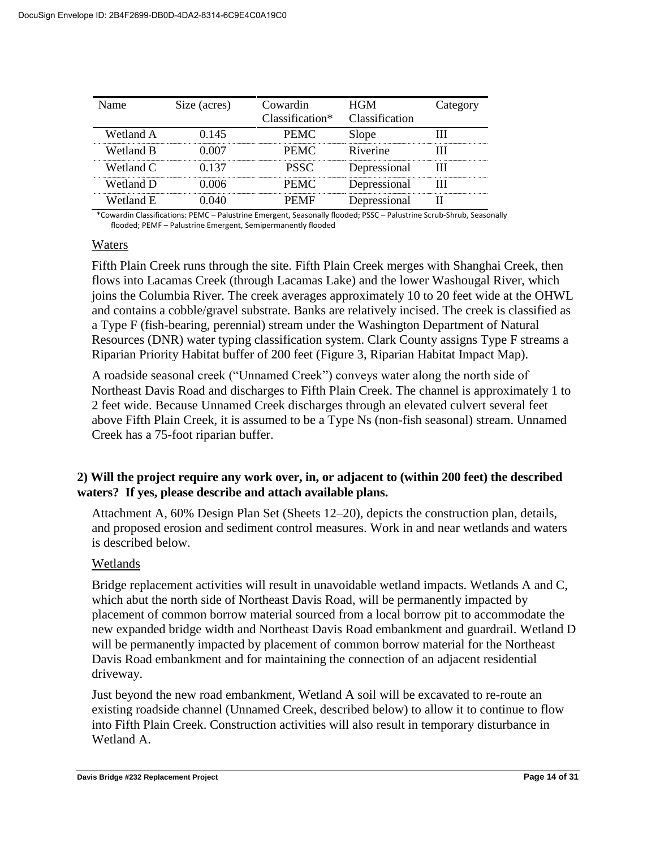| Jame      | Size (acres) | Cowardin<br>Classification* | HGM.<br><b>Classification</b> | Category |
|-----------|--------------|-----------------------------|-------------------------------|----------|
| Wetland A | () 145       | <b>PEMC</b>                 | ilone                         |          |
| Wetland B |              | <b>PFMC</b>                 | Riverine                      |          |
| Wetland C |              | <b>PSSC</b>                 | Depressional                  |          |
| Wetland D |              | PEMC                        | Depressional                  |          |
| Wetland E |              |                             | Depressional                  |          |

\*Cowardin Classifications: PEMC – Palustrine Emergent, Seasonally flooded; PSSC – Palustrine Scrub-Shrub, Seasonally flooded; PEMF – Palustrine Emergent, Semipermanently flooded

#### Waters

Fifth Plain Creek runs through the site. Fifth Plain Creek merges with Shanghai Creek, then flows into Lacamas Creek (through Lacamas Lake) and the lower Washougal River, which joins the Columbia River. The creek averages approximately 10 to 20 feet wide at the OHWL and contains a cobble/gravel substrate. Banks are relatively incised. The creek is classified as a Type F (fish-bearing, perennial) stream under the Washington Department of Natural Resources (DNR) water typing classification system. Clark County assigns Type F streams a Riparian Priority Habitat buffer of 200 feet (Figure 3, Riparian Habitat Impact Map).

A roadside seasonal creek ("Unnamed Creek") conveys water along the north side of Northeast Davis Road and discharges to Fifth Plain Creek. The channel is approximately 1 to 2 feet wide. Because Unnamed Creek discharges through an elevated culvert several feet above Fifth Plain Creek, it is assumed to be a Type Ns (non-fish seasonal) stream. Unnamed Creek has a 75-foot riparian buffer.

### **2) Will the project require any work over, in, or adjacent to (within 200 feet) the described waters? If yes, please describe and attach available plans.**

Attachment A, 60% Design Plan Set (Sheets 12–20), depicts the construction plan, details, and proposed erosion and sediment control measures. Work in and near wetlands and waters is described below.

#### Wetlands

Bridge replacement activities will result in unavoidable wetland impacts. Wetlands A and C, which abut the north side of Northeast Davis Road, will be permanently impacted by placement of common borrow material sourced from a local borrow pit to accommodate the new expanded bridge width and Northeast Davis Road embankment and guardrail. Wetland D will be permanently impacted by placement of common borrow material for the Northeast Davis Road embankment and for maintaining the connection of an adjacent residential driveway.

Just beyond the new road embankment, Wetland A soil will be excavated to re-route an existing roadside channel (Unnamed Creek, described below) to allow it to continue to flow into Fifth Plain Creek. Construction activities will also result in temporary disturbance in Wetland A.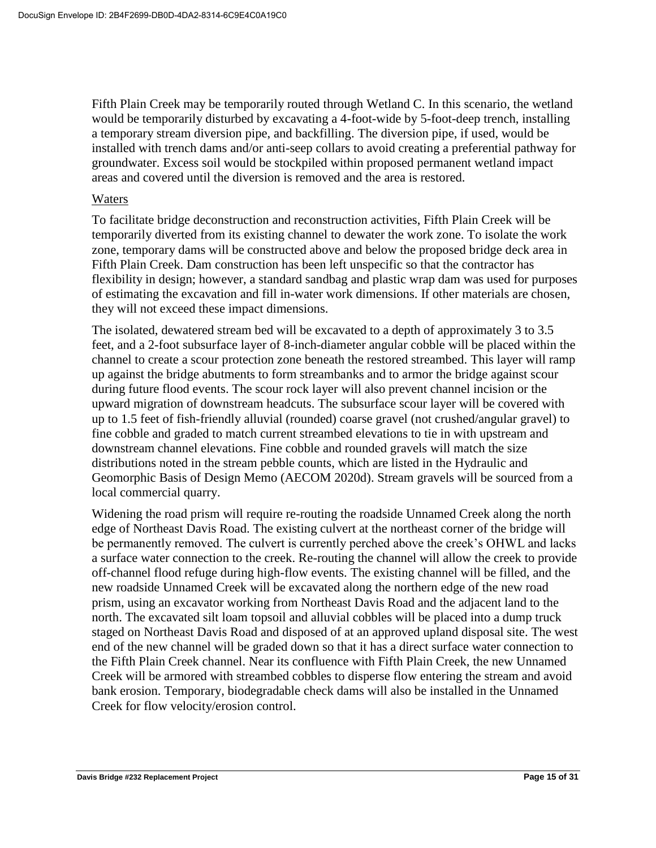Fifth Plain Creek may be temporarily routed through Wetland C. In this scenario, the wetland would be temporarily disturbed by excavating a 4-foot-wide by 5-foot-deep trench, installing a temporary stream diversion pipe, and backfilling. The diversion pipe, if used, would be installed with trench dams and/or anti-seep collars to avoid creating a preferential pathway for groundwater. Excess soil would be stockpiled within proposed permanent wetland impact areas and covered until the diversion is removed and the area is restored.

#### Waters

To facilitate bridge deconstruction and reconstruction activities, Fifth Plain Creek will be temporarily diverted from its existing channel to dewater the work zone. To isolate the work zone, temporary dams will be constructed above and below the proposed bridge deck area in Fifth Plain Creek. Dam construction has been left unspecific so that the contractor has flexibility in design; however, a standard sandbag and plastic wrap dam was used for purposes of estimating the excavation and fill in-water work dimensions. If other materials are chosen, they will not exceed these impact dimensions.

The isolated, dewatered stream bed will be excavated to a depth of approximately 3 to 3.5 feet, and a 2-foot subsurface layer of 8-inch-diameter angular cobble will be placed within the channel to create a scour protection zone beneath the restored streambed. This layer will ramp up against the bridge abutments to form streambanks and to armor the bridge against scour during future flood events. The scour rock layer will also prevent channel incision or the upward migration of downstream headcuts. The subsurface scour layer will be covered with up to 1.5 feet of fish-friendly alluvial (rounded) coarse gravel (not crushed/angular gravel) to fine cobble and graded to match current streambed elevations to tie in with upstream and downstream channel elevations. Fine cobble and rounded gravels will match the size distributions noted in the stream pebble counts, which are listed in the Hydraulic and Geomorphic Basis of Design Memo (AECOM 2020d). Stream gravels will be sourced from a local commercial quarry.

Widening the road prism will require re-routing the roadside Unnamed Creek along the north edge of Northeast Davis Road. The existing culvert at the northeast corner of the bridge will be permanently removed. The culvert is currently perched above the creek's OHWL and lacks a surface water connection to the creek. Re-routing the channel will allow the creek to provide off-channel flood refuge during high-flow events. The existing channel will be filled, and the new roadside Unnamed Creek will be excavated along the northern edge of the new road prism, using an excavator working from Northeast Davis Road and the adjacent land to the north. The excavated silt loam topsoil and alluvial cobbles will be placed into a dump truck staged on Northeast Davis Road and disposed of at an approved upland disposal site. The west end of the new channel will be graded down so that it has a direct surface water connection to the Fifth Plain Creek channel. Near its confluence with Fifth Plain Creek, the new Unnamed Creek will be armored with streambed cobbles to disperse flow entering the stream and avoid bank erosion. Temporary, biodegradable check dams will also be installed in the Unnamed Creek for flow velocity/erosion control.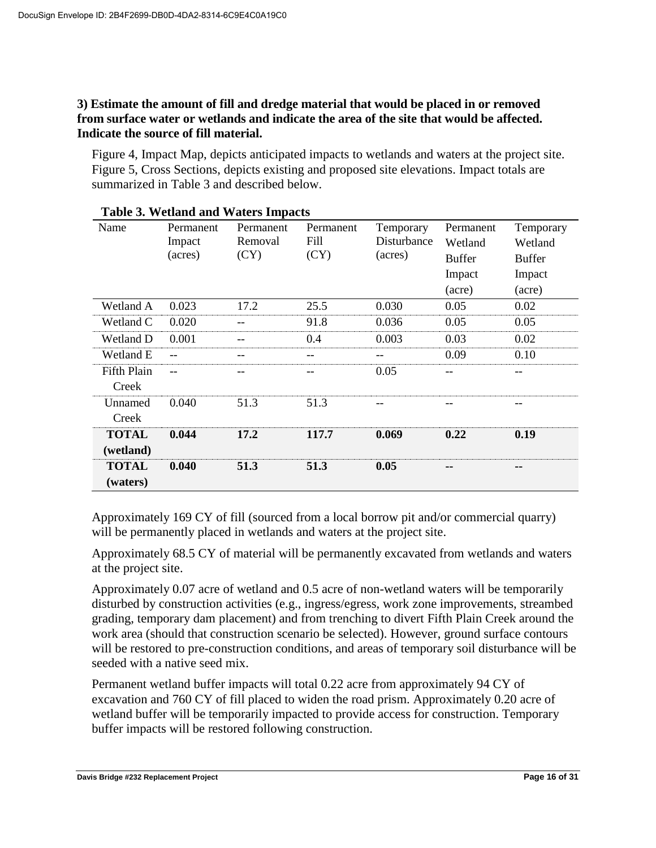### **3) Estimate the amount of fill and dredge material that would be placed in or removed from surface water or wetlands and indicate the area of the site that would be affected. Indicate the source of fill material.**

Figure 4, Impact Map, depicts anticipated impacts to wetlands and waters at the project site. Figure 5, Cross Sections, depicts existing and proposed site elevations. Impact totals are summarized in Table 3 and described below.

|                    |           | Table 5. Wediand and Waters Impacts |           |             |               |               |
|--------------------|-----------|-------------------------------------|-----------|-------------|---------------|---------------|
| Name               | Permanent | Permanent                           | Permanent | Temporary   | Permanent     | Temporary     |
|                    | Impact    | Removal                             | Fill      | Disturbance | Wetland       | Wetland       |
|                    | (acres)   | (CY)                                | (CY)      | (acres)     | <b>Buffer</b> | <b>Buffer</b> |
|                    |           |                                     |           |             | Impact        | Impact        |
|                    |           |                                     |           |             | (acre)        | (acre)        |
| Wetland A          | 0.023     | 17.2                                | 25.5      | 0.030       | 0.05          | 0.02          |
| Wetland C          | 0.020     |                                     | 91.8      | 0.036       | 0.05          | 0.05          |
| Wetland D          | 0.001     |                                     | 0.4       | 0.003       | 0.03          | 0.02          |
| Wetland E          |           |                                     |           | --          | 0.09          | 0.10          |
| <b>Fifth Plain</b> |           |                                     |           | 0.05        |               |               |
| Creek              |           |                                     |           |             |               |               |
| Unnamed            | 0.040     | 51.3                                | 51.3      |             |               |               |
| Creek              |           |                                     |           |             |               |               |
| <b>TOTAL</b>       | 0.044     | 17.2                                | 117.7     | 0.069       | 0.22          | 0.19          |
| (wetland)          |           |                                     |           |             |               |               |
| <b>TOTAL</b>       | 0.040     | 51.3                                | 51.3      | 0.05        |               | --            |
| (waters)           |           |                                     |           |             |               |               |

**Table 3. Wetland and Waters Impacts**

Approximately 169 CY of fill (sourced from a local borrow pit and/or commercial quarry) will be permanently placed in wetlands and waters at the project site.

Approximately 68.5 CY of material will be permanently excavated from wetlands and waters at the project site.

Approximately 0.07 acre of wetland and 0.5 acre of non-wetland waters will be temporarily disturbed by construction activities (e.g., ingress/egress, work zone improvements, streambed grading, temporary dam placement) and from trenching to divert Fifth Plain Creek around the work area (should that construction scenario be selected). However, ground surface contours will be restored to pre-construction conditions, and areas of temporary soil disturbance will be seeded with a native seed mix.

Permanent wetland buffer impacts will total 0.22 acre from approximately 94 CY of excavation and 760 CY of fill placed to widen the road prism. Approximately 0.20 acre of wetland buffer will be temporarily impacted to provide access for construction. Temporary buffer impacts will be restored following construction.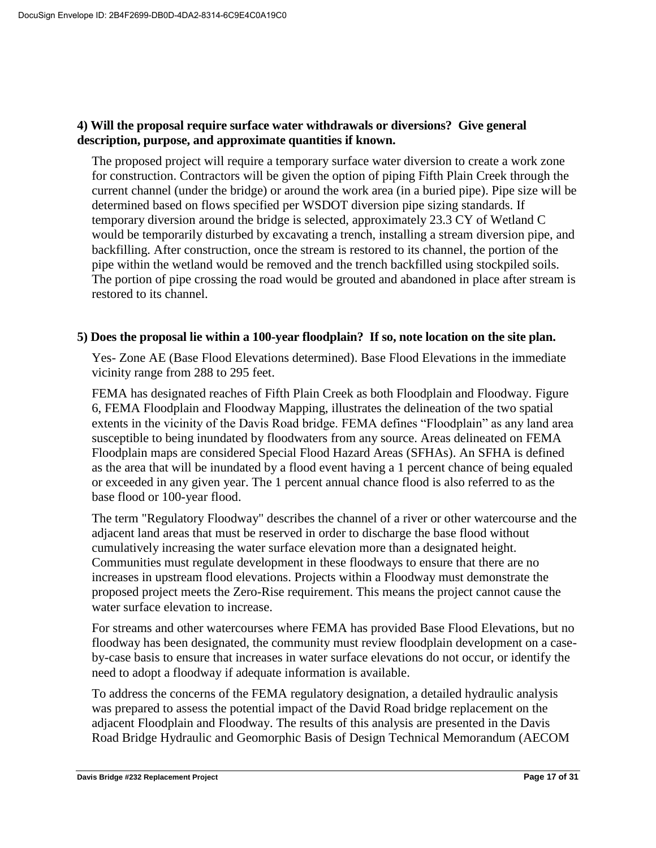### **4) Will the proposal require surface water withdrawals or diversions? Give general description, purpose, and approximate quantities if known.**

The proposed project will require a temporary surface water diversion to create a work zone for construction. Contractors will be given the option of piping Fifth Plain Creek through the current channel (under the bridge) or around the work area (in a buried pipe). Pipe size will be determined based on flows specified per WSDOT diversion pipe sizing standards. If temporary diversion around the bridge is selected, approximately 23.3 CY of Wetland C would be temporarily disturbed by excavating a trench, installing a stream diversion pipe, and backfilling. After construction, once the stream is restored to its channel, the portion of the pipe within the wetland would be removed and the trench backfilled using stockpiled soils. The portion of pipe crossing the road would be grouted and abandoned in place after stream is restored to its channel.

### **5) Does the proposal lie within a 100-year floodplain? If so, note location on the site plan.**

Yes- Zone AE (Base Flood Elevations determined). Base Flood Elevations in the immediate vicinity range from 288 to 295 feet.

FEMA has designated reaches of Fifth Plain Creek as both Floodplain and Floodway. Figure 6, FEMA Floodplain and Floodway Mapping, illustrates the delineation of the two spatial extents in the vicinity of the Davis Road bridge. FEMA defines "Floodplain" as any land area susceptible to being inundated by floodwaters from any source. Areas delineated on FEMA Floodplain maps are considered Special Flood Hazard Areas (SFHAs). An SFHA is defined as the area that will be inundated by a flood event having a 1 percent chance of being equaled or exceeded in any given year. The 1 percent annual chance flood is also referred to as the base flood or 100-year flood.

The term "Regulatory Floodway" describes the channel of a river or other watercourse and the adjacent land areas that must be reserved in order to discharge the base flood without cumulatively increasing the water surface elevation more than a designated height. Communities must regulate development in these floodways to ensure that there are no increases in upstream flood elevations. Projects within a Floodway must demonstrate the proposed project meets the Zero-Rise requirement. This means the project cannot cause the water surface elevation to increase.

For streams and other watercourses where FEMA has provided Base Flood Elevations, but no floodway has been designated, the community must review floodplain development on a caseby-case basis to ensure that increases in water surface elevations do not occur, or identify the need to adopt a floodway if adequate information is available.

To address the concerns of the FEMA regulatory designation, a detailed hydraulic analysis was prepared to assess the potential impact of the David Road bridge replacement on the adjacent Floodplain and Floodway. The results of this analysis are presented in the Davis Road Bridge Hydraulic and Geomorphic Basis of Design Technical Memorandum (AECOM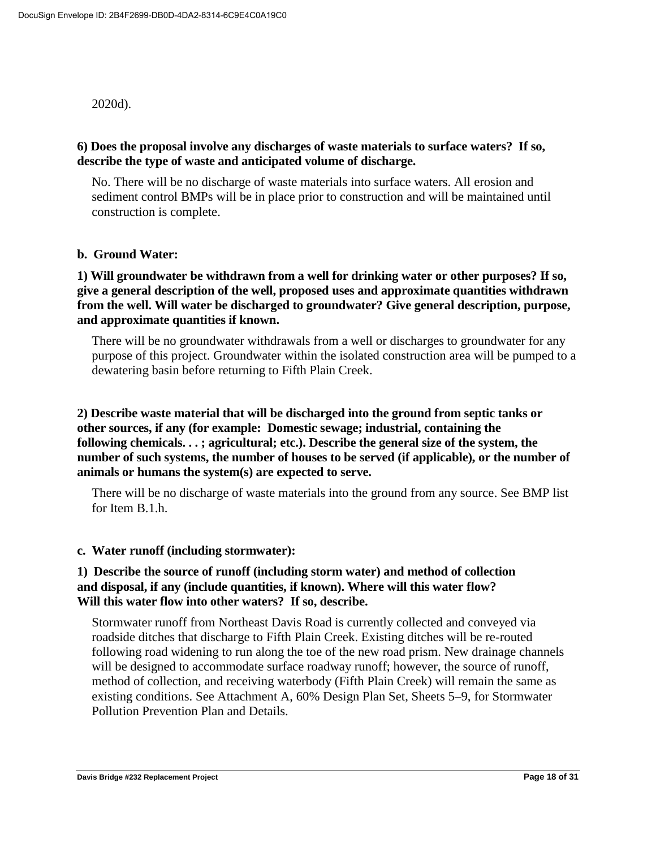2020d).

### **6) Does the proposal involve any discharges of waste materials to surface waters? If so, describe the type of waste and anticipated volume of discharge.**

No. There will be no discharge of waste materials into surface waters. All erosion and sediment control BMPs will be in place prior to construction and will be maintained until construction is complete.

#### **b. Ground Water:**

### **1) Will groundwater be withdrawn from a well for drinking water or other purposes? If so, give a general description of the well, proposed uses and approximate quantities withdrawn from the well. Will water be discharged to groundwater? Give general description, purpose, and approximate quantities if known.**

There will be no groundwater withdrawals from a well or discharges to groundwater for any purpose of this project. Groundwater within the isolated construction area will be pumped to a dewatering basin before returning to Fifth Plain Creek.

### **2) Describe waste material that will be discharged into the ground from septic tanks or other sources, if any (for example: Domestic sewage; industrial, containing the following chemicals. . . ; agricultural; etc.). Describe the general size of the system, the number of such systems, the number of houses to be served (if applicable), or the number of animals or humans the system(s) are expected to serve.**

There will be no discharge of waste materials into the ground from any source. See BMP list for Item B.1.h.

#### **c. Water runoff (including stormwater):**

### **1) Describe the source of runoff (including storm water) and method of collection and disposal, if any (include quantities, if known). Where will this water flow? Will this water flow into other waters? If so, describe.**

Stormwater runoff from Northeast Davis Road is currently collected and conveyed via roadside ditches that discharge to Fifth Plain Creek. Existing ditches will be re-routed following road widening to run along the toe of the new road prism. New drainage channels will be designed to accommodate surface roadway runoff; however, the source of runoff, method of collection, and receiving waterbody (Fifth Plain Creek) will remain the same as existing conditions. See Attachment A, 60% Design Plan Set, Sheets 5–9, for Stormwater Pollution Prevention Plan and Details.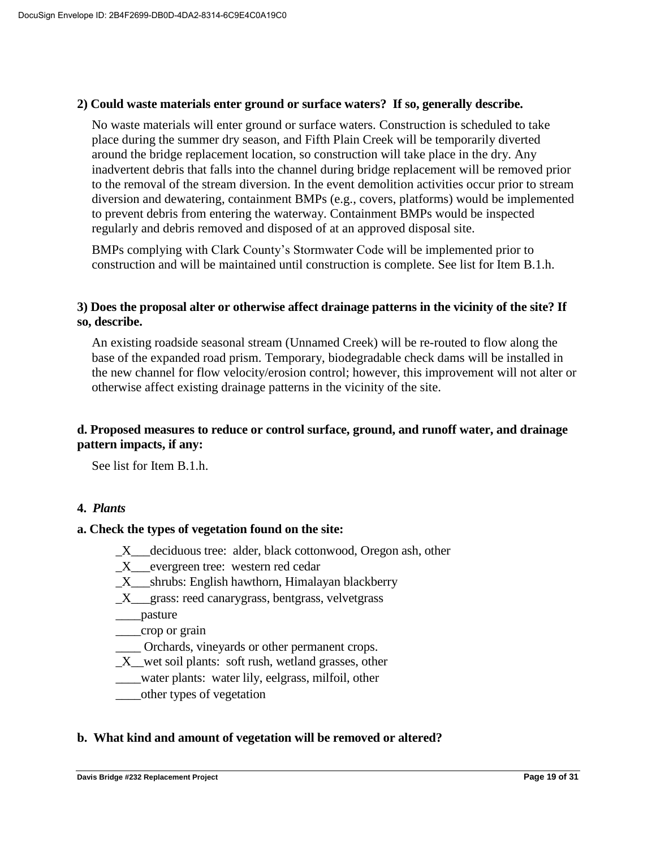#### **2) Could waste materials enter ground or surface waters? If so, generally describe.**

No waste materials will enter ground or surface waters. Construction is scheduled to take place during the summer dry season, and Fifth Plain Creek will be temporarily diverted around the bridge replacement location, so construction will take place in the dry. Any inadvertent debris that falls into the channel during bridge replacement will be removed prior to the removal of the stream diversion. In the event demolition activities occur prior to stream diversion and dewatering, containment BMPs (e.g., covers, platforms) would be implemented to prevent debris from entering the waterway. Containment BMPs would be inspected regularly and debris removed and disposed of at an approved disposal site.

BMPs complying with Clark County's Stormwater Code will be implemented prior to construction and will be maintained until construction is complete. See list for Item B.1.h.

### **3) Does the proposal alter or otherwise affect drainage patterns in the vicinity of the site? If so, describe.**

An existing roadside seasonal stream (Unnamed Creek) will be re-routed to flow along the base of the expanded road prism. Temporary, biodegradable check dams will be installed in the new channel for flow velocity/erosion control; however, this improvement will not alter or otherwise affect existing drainage patterns in the vicinity of the site.

### **d. Proposed measures to reduce or control surface, ground, and runoff water, and drainage pattern impacts, if any:**

See list for Item B.1.h.

#### **4.** *Plants*

#### **a. Check the types of vegetation found on the site:**

- \_X\_\_\_deciduous tree: alder, black cottonwood, Oregon ash, other
- X evergreen tree: western red cedar
- $\_X$ <sub>\_\_\_</sub>shrubs: English hawthorn, Himalayan blackberry
- \_X\_\_\_grass: reed canarygrass, bentgrass, velvetgrass
- \_\_\_\_pasture

\_\_\_\_crop or grain

- \_\_\_\_ Orchards, vineyards or other permanent crops.
- \_X\_\_wet soil plants: soft rush, wetland grasses, other
- \_\_\_\_water plants: water lily, eelgrass, milfoil, other
- \_\_\_\_other types of vegetation

#### **b. What kind and amount of vegetation will be removed or altered?**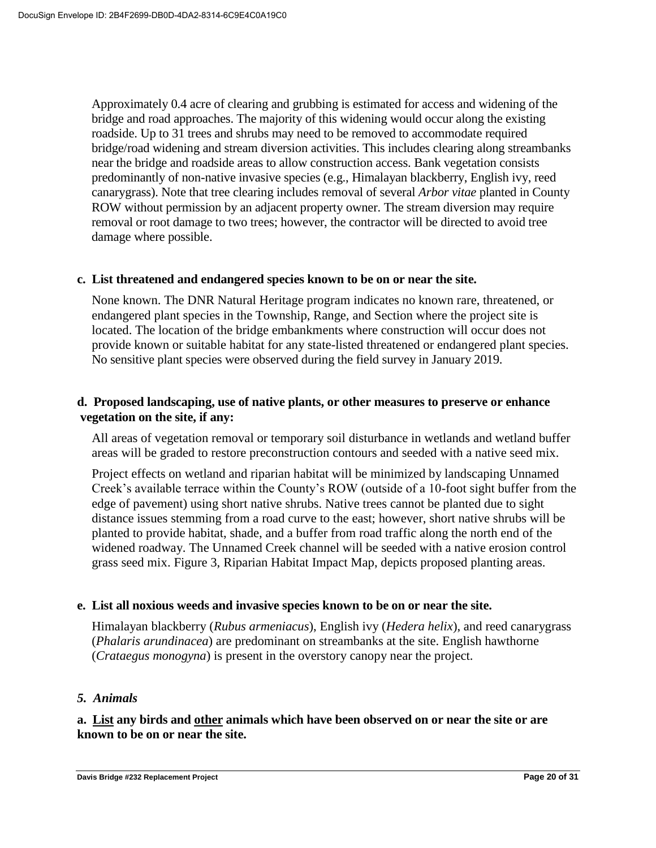Approximately 0.4 acre of clearing and grubbing is estimated for access and widening of the bridge and road approaches. The majority of this widening would occur along the existing roadside. Up to 31 trees and shrubs may need to be removed to accommodate required bridge/road widening and stream diversion activities. This includes clearing along streambanks near the bridge and roadside areas to allow construction access. Bank vegetation consists predominantly of non-native invasive species (e.g., Himalayan blackberry, English ivy, reed canarygrass). Note that tree clearing includes removal of several *Arbor vitae* planted in County ROW without permission by an adjacent property owner. The stream diversion may require removal or root damage to two trees; however, the contractor will be directed to avoid tree damage where possible.

#### **c. List threatened and endangered species known to be on or near the site.**

None known. The DNR Natural Heritage program indicates no known rare, threatened, or endangered plant species in the Township, Range, and Section where the project site is located. The location of the bridge embankments where construction will occur does not provide known or suitable habitat for any state-listed threatened or endangered plant species. No sensitive plant species were observed during the field survey in January 2019.

### **d. Proposed landscaping, use of native plants, or other measures to preserve or enhance vegetation on the site, if any:**

All areas of vegetation removal or temporary soil disturbance in wetlands and wetland buffer areas will be graded to restore preconstruction contours and seeded with a native seed mix.

Project effects on wetland and riparian habitat will be minimized by landscaping Unnamed Creek's available terrace within the County's ROW (outside of a 10-foot sight buffer from the edge of pavement) using short native shrubs. Native trees cannot be planted due to sight distance issues stemming from a road curve to the east; however, short native shrubs will be planted to provide habitat, shade, and a buffer from road traffic along the north end of the widened roadway. The Unnamed Creek channel will be seeded with a native erosion control grass seed mix. Figure 3, Riparian Habitat Impact Map, depicts proposed planting areas.

#### **e. List all noxious weeds and invasive species known to be on or near the site.**

Himalayan blackberry (*Rubus armeniacus*), English ivy (*Hedera helix*), and reed canarygrass (*Phalaris arundinacea*) are predominant on streambanks at the site. English hawthorne (*Crataegus monogyna*) is present in the overstory canopy near the project.

#### *5. Animals*

**a. List any birds and other animals which have been observed on or near the site or are known to be on or near the site.**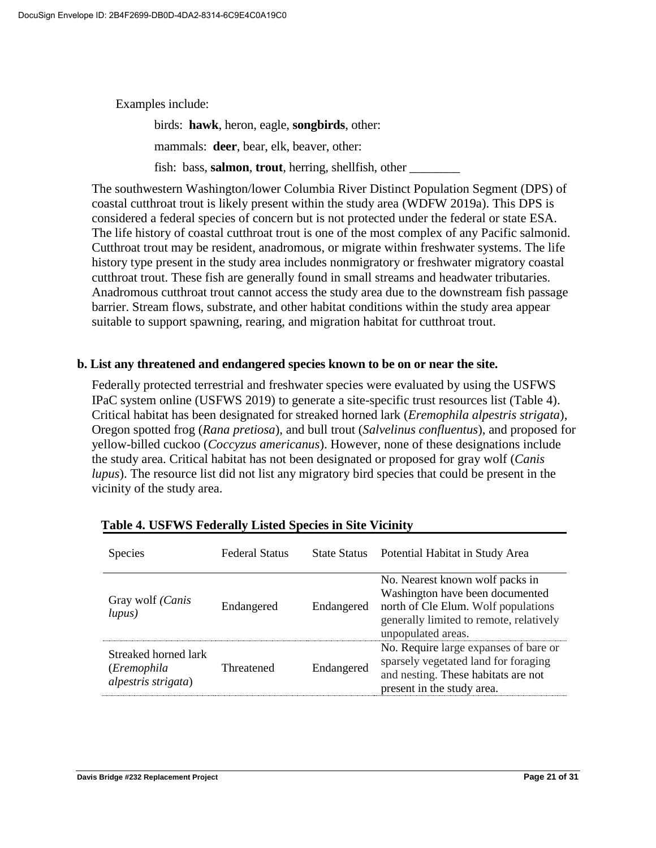Examples include:

birds: **hawk**, heron, eagle, **songbirds**, other: mammals: **deer**, bear, elk, beaver, other:

fish: bass, **salmon**, **trout**, herring, shellfish, other

The southwestern Washington/lower Columbia River Distinct Population Segment (DPS) of coastal cutthroat trout is likely present within the study area (WDFW 2019a). This DPS is considered a federal species of concern but is not protected under the federal or state ESA. The life history of coastal cutthroat trout is one of the most complex of any Pacific salmonid. Cutthroat trout may be resident, anadromous, or migrate within freshwater systems. The life history type present in the study area includes nonmigratory or freshwater migratory coastal cutthroat trout. These fish are generally found in small streams and headwater tributaries. Anadromous cutthroat trout cannot access the study area due to the downstream fish passage barrier. Stream flows, substrate, and other habitat conditions within the study area appear suitable to support spawning, rearing, and migration habitat for cutthroat trout.

#### **b. List any threatened and endangered species known to be on or near the site.**

Federally protected terrestrial and freshwater species were evaluated by using the USFWS IPaC system online (USFWS 2019) to generate a site-specific trust resources list (Table 4). Critical habitat has been designated for streaked horned lark (*Eremophila alpestris strigata*), Oregon spotted frog (*Rana pretiosa*), and bull trout (*Salvelinus confluentus*), and proposed for yellow-billed cuckoo (*Coccyzus americanus*). However, none of these designations include the study area. Critical habitat has not been designated or proposed for gray wolf (*Canis lupus*). The resource list did not list any migratory bird species that could be present in the vicinity of the study area.

| <b>Species</b>                                             | <b>Federal Status</b> | <b>State Status</b> | Potential Habitat in Study Area                                                                                                                                            |
|------------------------------------------------------------|-----------------------|---------------------|----------------------------------------------------------------------------------------------------------------------------------------------------------------------------|
| Gray wolf ( <i>Canis</i><br>lupus)                         | Endangered            | Endangered          | No. Nearest known wolf packs in<br>Washington have been documented<br>north of Cle Elum. Wolf populations<br>generally limited to remote, relatively<br>unpopulated areas. |
| Streaked horned lark<br>(Eremophila<br>alpestris strigata) | Threatened            | Endangered          | No. Require large expanses of bare or<br>sparsely vegetated land for foraging<br>and nesting. These habitats are not<br>present in the study area.                         |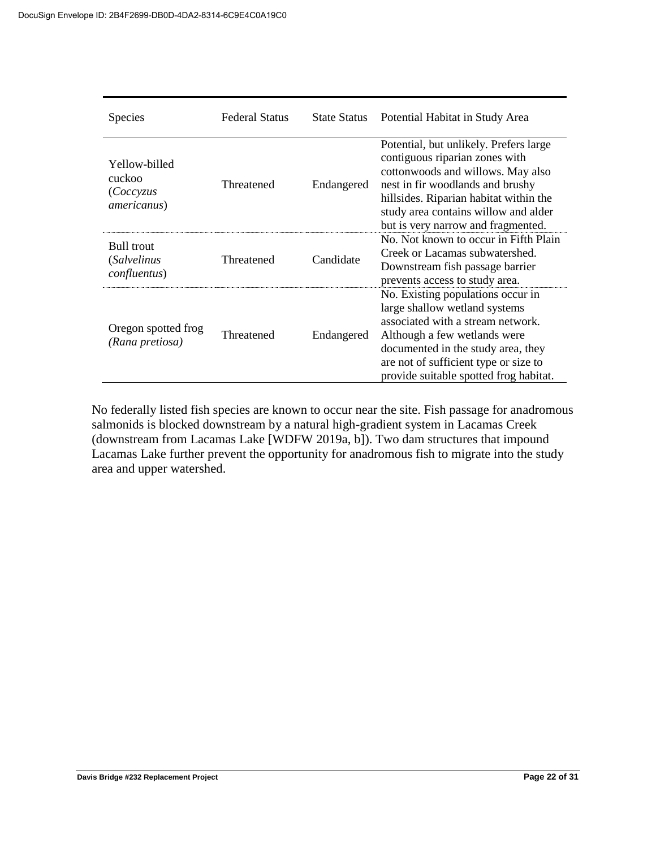| <b>Species</b>                                                   | <b>Federal Status</b> | <b>State Status</b> | Potential Habitat in Study Area                                                                                                                                                                                                                                           |
|------------------------------------------------------------------|-----------------------|---------------------|---------------------------------------------------------------------------------------------------------------------------------------------------------------------------------------------------------------------------------------------------------------------------|
| Yellow-billed<br>cuckoo<br>(Coccyzus<br><i>americanus</i> )      | Threatened            | Endangered          | Potential, but unlikely. Prefers large<br>contiguous riparian zones with<br>cottonwoods and willows. May also<br>nest in fir woodlands and brushy<br>hillsides. Riparian habitat within the<br>study area contains willow and alder<br>but is very narrow and fragmented. |
| <b>Bull trout</b><br><i>(Salvelinus)</i><br><i>confluentus</i> ) | Threatened            | Candidate           | No. Not known to occur in Fifth Plain<br>Creek or Lacamas subwatershed.<br>Downstream fish passage barrier<br>prevents access to study area.                                                                                                                              |
| Oregon spotted frog<br>(Rana pretiosa)                           | Threatened            | Endangered          | No. Existing populations occur in<br>large shallow wetland systems<br>associated with a stream network.<br>Although a few wetlands were<br>documented in the study area, they<br>are not of sufficient type or size to<br>provide suitable spotted frog habitat.          |

No federally listed fish species are known to occur near the site. Fish passage for anadromous salmonids is blocked downstream by a natural high-gradient system in Lacamas Creek (downstream from Lacamas Lake [WDFW 2019a, b]). Two dam structures that impound Lacamas Lake further prevent the opportunity for anadromous fish to migrate into the study area and upper watershed.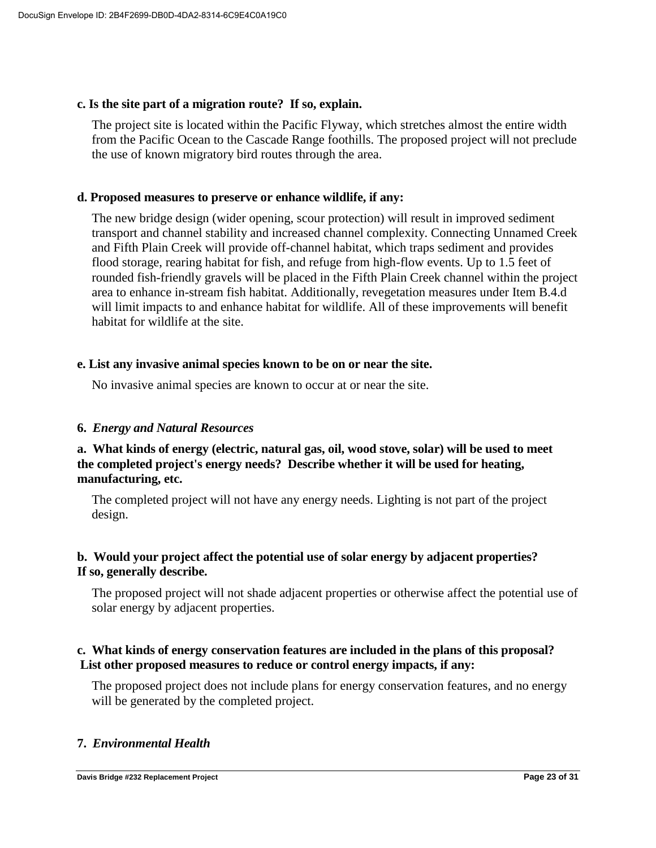#### **c. Is the site part of a migration route? If so, explain.**

The project site is located within the Pacific Flyway, which stretches almost the entire width from the Pacific Ocean to the Cascade Range foothills. The proposed project will not preclude the use of known migratory bird routes through the area.

### **d. Proposed measures to preserve or enhance wildlife, if any:**

The new bridge design (wider opening, scour protection) will result in improved sediment transport and channel stability and increased channel complexity. Connecting Unnamed Creek and Fifth Plain Creek will provide off-channel habitat, which traps sediment and provides flood storage, rearing habitat for fish, and refuge from high-flow events. Up to 1.5 feet of rounded fish-friendly gravels will be placed in the Fifth Plain Creek channel within the project area to enhance in-stream fish habitat. Additionally, revegetation measures under Item B.4.d will limit impacts to and enhance habitat for wildlife. All of these improvements will benefit habitat for wildlife at the site.

#### **e. List any invasive animal species known to be on or near the site.**

No invasive animal species are known to occur at or near the site.

### **6.** *Energy and Natural Resources*

### **a. What kinds of energy (electric, natural gas, oil, wood stove, solar) will be used to meet the completed project's energy needs? Describe whether it will be used for heating, manufacturing, etc.**

The completed project will not have any energy needs. Lighting is not part of the project design.

### **b. Would your project affect the potential use of solar energy by adjacent properties? If so, generally describe.**

The proposed project will not shade adjacent properties or otherwise affect the potential use of solar energy by adjacent properties.

### **c. What kinds of energy conservation features are included in the plans of this proposal? List other proposed measures to reduce or control energy impacts, if any:**

The proposed project does not include plans for energy conservation features, and no energy will be generated by the completed project.

### **7.** *Environmental Health*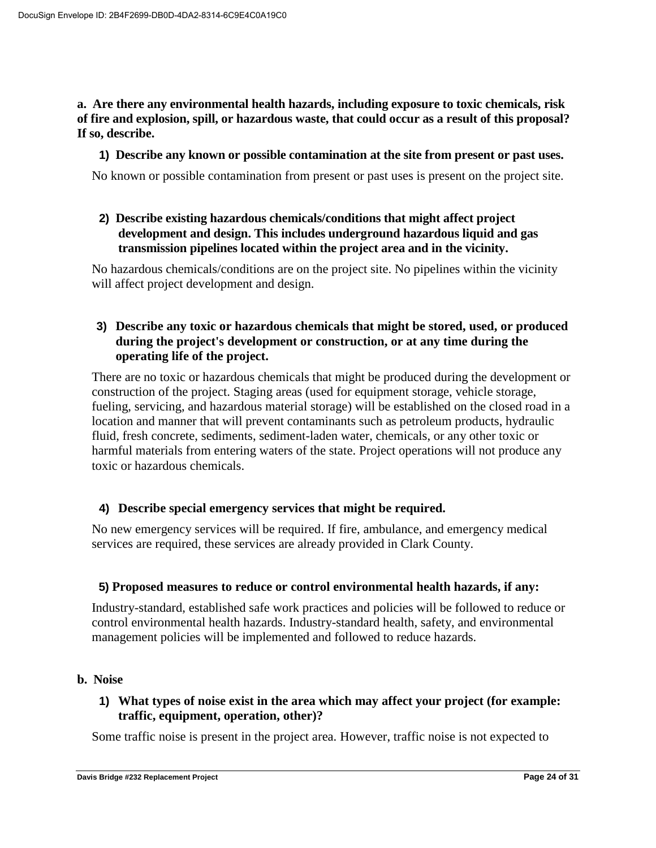**a. Are there any environmental health hazards, including exposure to toxic chemicals, risk of fire and explosion, spill, or hazardous waste, that could occur as a result of this proposal? If so, describe.**

#### **1) Describe any known or possible contamination at the site from present or past uses.**

No known or possible contamination from present or past uses is present on the project site.

### **2) Describe existing hazardous chemicals/conditions that might affect project development and design. This includes underground hazardous liquid and gas transmission pipelines located within the project area and in the vicinity.**

No hazardous chemicals/conditions are on the project site. No pipelines within the vicinity will affect project development and design.

### **3) Describe any toxic or hazardous chemicals that might be stored, used, or produced during the project's development or construction, or at any time during the operating life of the project.**

There are no toxic or hazardous chemicals that might be produced during the development or construction of the project. Staging areas (used for equipment storage, vehicle storage, fueling, servicing, and hazardous material storage) will be established on the closed road in a location and manner that will prevent contaminants such as petroleum products, hydraulic fluid, fresh concrete, sediments, sediment-laden water, chemicals, or any other toxic or harmful materials from entering waters of the state. Project operations will not produce any toxic or hazardous chemicals.

### **4) Describe special emergency services that might be required.**

No new emergency services will be required. If fire, ambulance, and emergency medical services are required, these services are already provided in Clark County.

#### **5) Proposed measures to reduce or control environmental health hazards, if any:**

Industry-standard, established safe work practices and policies will be followed to reduce or control environmental health hazards. Industry-standard health, safety, and environmental management policies will be implemented and followed to reduce hazards.

#### **b. Noise**

### **1) What types of noise exist in the area which may affect your project (for example: traffic, equipment, operation, other)?**

Some traffic noise is present in the project area. However, traffic noise is not expected to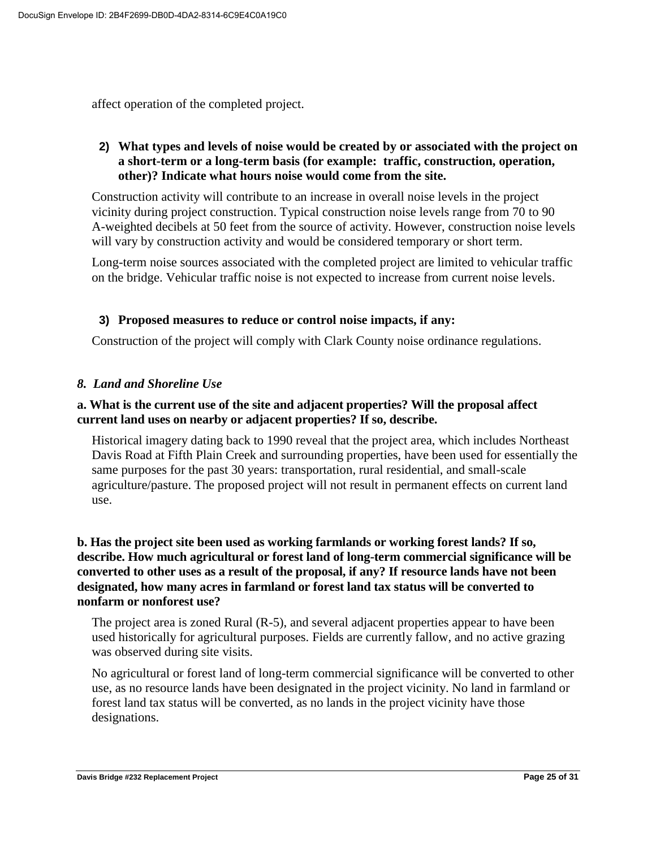affect operation of the completed project.

### **2) What types and levels of noise would be created by or associated with the project on a short-term or a long-term basis (for example: traffic, construction, operation, other)? Indicate what hours noise would come from the site.**

Construction activity will contribute to an increase in overall noise levels in the project vicinity during project construction. Typical construction noise levels range from 70 to 90 A-weighted decibels at 50 feet from the source of activity. However, construction noise levels will vary by construction activity and would be considered temporary or short term.

Long-term noise sources associated with the completed project are limited to vehicular traffic on the bridge. Vehicular traffic noise is not expected to increase from current noise levels.

### **3) Proposed measures to reduce or control noise impacts, if any:**

Construction of the project will comply with Clark County noise ordinance regulations.

#### *8. Land and Shoreline Use*

### **a. What is the current use of the site and adjacent properties? Will the proposal affect current land uses on nearby or adjacent properties? If so, describe.**

Historical imagery dating back to 1990 reveal that the project area, which includes Northeast Davis Road at Fifth Plain Creek and surrounding properties, have been used for essentially the same purposes for the past 30 years: transportation, rural residential, and small-scale agriculture/pasture. The proposed project will not result in permanent effects on current land use.

### **b. Has the project site been used as working farmlands or working forest lands? If so, describe. How much agricultural or forest land of long-term commercial significance will be converted to other uses as a result of the proposal, if any? If resource lands have not been designated, how many acres in farmland or forest land tax status will be converted to nonfarm or nonforest use?**

The project area is zoned Rural (R-5), and several adjacent properties appear to have been used historically for agricultural purposes. Fields are currently fallow, and no active grazing was observed during site visits.

No agricultural or forest land of long-term commercial significance will be converted to other use, as no resource lands have been designated in the project vicinity. No land in farmland or forest land tax status will be converted, as no lands in the project vicinity have those designations.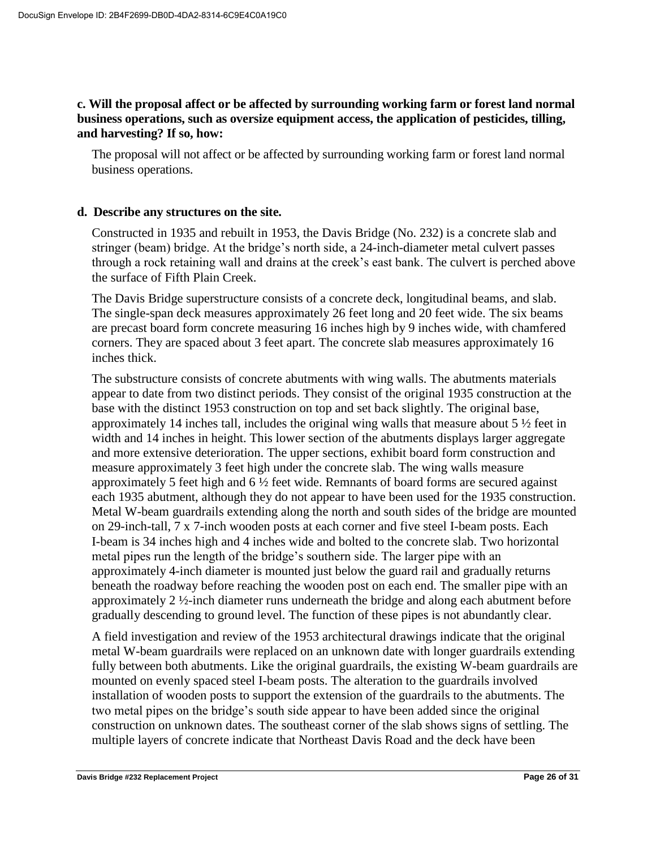### **c. Will the proposal affect or be affected by surrounding working farm or forest land normal business operations, such as oversize equipment access, the application of pesticides, tilling, and harvesting? If so, how:**

The proposal will not affect or be affected by surrounding working farm or forest land normal business operations.

### **d. Describe any structures on the site.**

Constructed in 1935 and rebuilt in 1953, the Davis Bridge (No. 232) is a concrete slab and stringer (beam) bridge. At the bridge's north side, a 24-inch-diameter metal culvert passes through a rock retaining wall and drains at the creek's east bank. The culvert is perched above the surface of Fifth Plain Creek.

The Davis Bridge superstructure consists of a concrete deck, longitudinal beams, and slab. The single-span deck measures approximately 26 feet long and 20 feet wide. The six beams are precast board form concrete measuring 16 inches high by 9 inches wide, with chamfered corners. They are spaced about 3 feet apart. The concrete slab measures approximately 16 inches thick.

The substructure consists of concrete abutments with wing walls. The abutments materials appear to date from two distinct periods. They consist of the original 1935 construction at the base with the distinct 1953 construction on top and set back slightly. The original base, approximately 14 inches tall, includes the original wing walls that measure about 5 ½ feet in width and 14 inches in height. This lower section of the abutments displays larger aggregate and more extensive deterioration. The upper sections, exhibit board form construction and measure approximately 3 feet high under the concrete slab. The wing walls measure approximately 5 feet high and  $6\frac{1}{2}$  feet wide. Remnants of board forms are secured against each 1935 abutment, although they do not appear to have been used for the 1935 construction. Metal W-beam guardrails extending along the north and south sides of the bridge are mounted on 29-inch-tall, 7 x 7-inch wooden posts at each corner and five steel I-beam posts. Each I-beam is 34 inches high and 4 inches wide and bolted to the concrete slab. Two horizontal metal pipes run the length of the bridge's southern side. The larger pipe with an approximately 4-inch diameter is mounted just below the guard rail and gradually returns beneath the roadway before reaching the wooden post on each end. The smaller pipe with an approximately 2 ½-inch diameter runs underneath the bridge and along each abutment before gradually descending to ground level. The function of these pipes is not abundantly clear.

A field investigation and review of the 1953 architectural drawings indicate that the original metal W-beam guardrails were replaced on an unknown date with longer guardrails extending fully between both abutments. Like the original guardrails, the existing W-beam guardrails are mounted on evenly spaced steel I-beam posts. The alteration to the guardrails involved installation of wooden posts to support the extension of the guardrails to the abutments. The two metal pipes on the bridge's south side appear to have been added since the original construction on unknown dates. The southeast corner of the slab shows signs of settling. The multiple layers of concrete indicate that Northeast Davis Road and the deck have been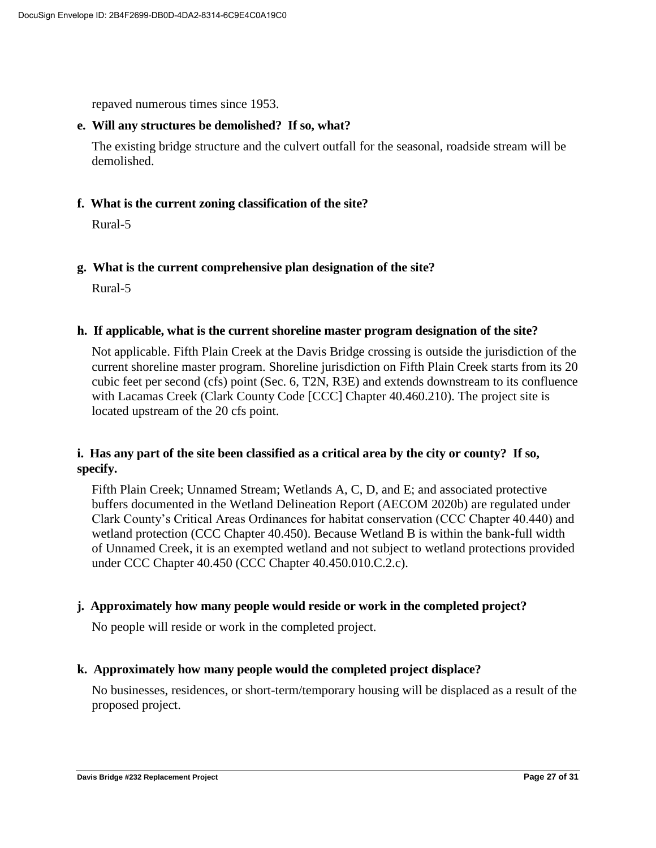repaved numerous times since 1953.

#### **e. Will any structures be demolished? If so, what?**

The existing bridge structure and the culvert outfall for the seasonal, roadside stream will be demolished.

### **f. What is the current zoning classification of the site?**

Rural-5

### **g. What is the current comprehensive plan designation of the site?**

Rural-5

#### **h. If applicable, what is the current shoreline master program designation of the site?**

Not applicable. Fifth Plain Creek at the Davis Bridge crossing is outside the jurisdiction of the current shoreline master program. Shoreline jurisdiction on Fifth Plain Creek starts from its 20 cubic feet per second (cfs) point (Sec. 6, T2N, R3E) and extends downstream to its confluence with Lacamas Creek (Clark County Code [CCC] Chapter 40.460.210). The project site is located upstream of the 20 cfs point.

### **i. Has any part of the site been classified as a critical area by the city or county? If so, specify.**

Fifth Plain Creek; Unnamed Stream; Wetlands A, C, D, and E; and associated protective buffers documented in the Wetland Delineation Report (AECOM 2020b) are regulated under Clark County's Critical Areas Ordinances for habitat conservation (CCC Chapter 40.440) and wetland protection (CCC Chapter 40.450). Because Wetland B is within the bank-full width of Unnamed Creek, it is an exempted wetland and not subject to wetland protections provided under CCC Chapter 40.450 (CCC Chapter 40.450.010.C.2.c).

#### **j. Approximately how many people would reside or work in the completed project?**

No people will reside or work in the completed project.

### **k. Approximately how many people would the completed project displace?**

No businesses, residences, or short-term/temporary housing will be displaced as a result of the proposed project.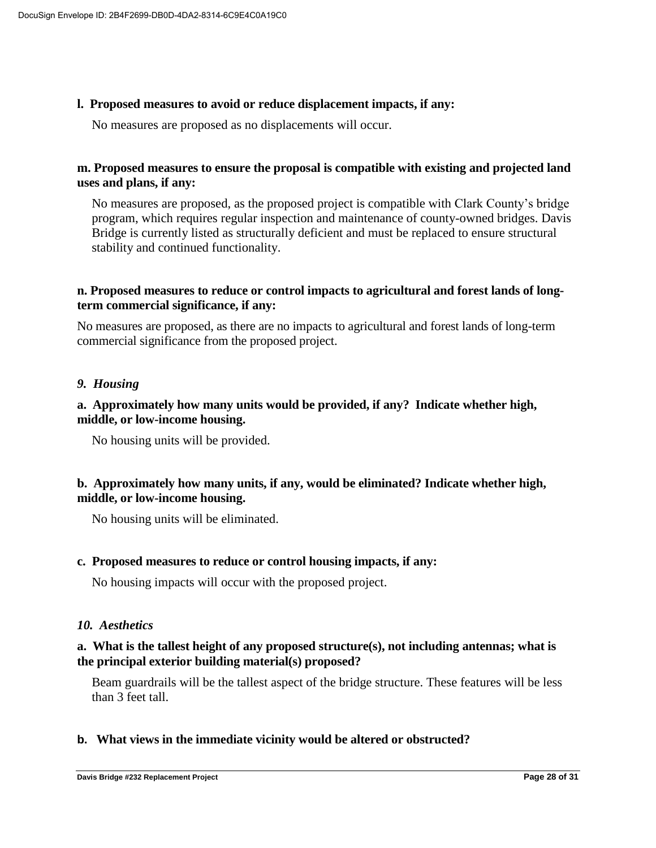#### **l. Proposed measures to avoid or reduce displacement impacts, if any:**

No measures are proposed as no displacements will occur.

### **m. Proposed measures to ensure the proposal is compatible with existing and projected land uses and plans, if any:**

No measures are proposed, as the proposed project is compatible with Clark County's bridge program, which requires regular inspection and maintenance of county-owned bridges. Davis Bridge is currently listed as structurally deficient and must be replaced to ensure structural stability and continued functionality.

### **n. Proposed measures to reduce or control impacts to agricultural and forest lands of longterm commercial significance, if any:**

No measures are proposed, as there are no impacts to agricultural and forest lands of long-term commercial significance from the proposed project.

#### *9. Housing*

### **a. Approximately how many units would be provided, if any? Indicate whether high, middle, or low-income housing.**

No housing units will be provided.

### **b. Approximately how many units, if any, would be eliminated? Indicate whether high, middle, or low-income housing.**

No housing units will be eliminated.

#### **c. Proposed measures to reduce or control housing impacts, if any:**

No housing impacts will occur with the proposed project.

#### *10. Aesthetics*

### **a. What is the tallest height of any proposed structure(s), not including antennas; what is the principal exterior building material(s) proposed?**

Beam guardrails will be the tallest aspect of the bridge structure. These features will be less than 3 feet tall.

#### **b. What views in the immediate vicinity would be altered or obstructed?**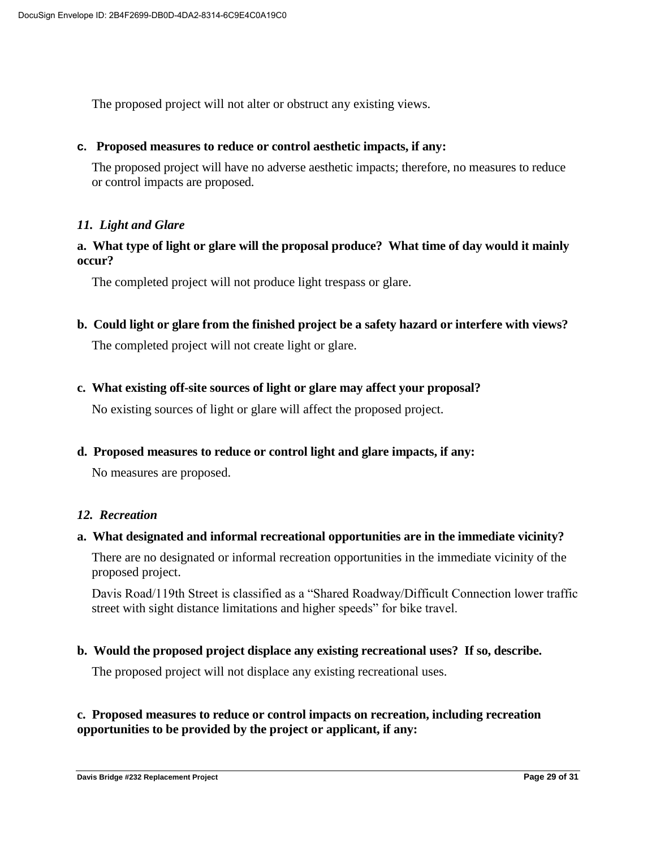The proposed project will not alter or obstruct any existing views.

#### **c. Proposed measures to reduce or control aesthetic impacts, if any:**

The proposed project will have no adverse aesthetic impacts; therefore, no measures to reduce or control impacts are proposed.

#### *11. Light and Glare*

### **a. What type of light or glare will the proposal produce? What time of day would it mainly occur?**

The completed project will not produce light trespass or glare.

**b. Could light or glare from the finished project be a safety hazard or interfere with views?**

The completed project will not create light or glare.

**c. What existing off-site sources of light or glare may affect your proposal?**

No existing sources of light or glare will affect the proposed project.

**d. Proposed measures to reduce or control light and glare impacts, if any:**

No measures are proposed.

#### *12. Recreation*

#### **a. What designated and informal recreational opportunities are in the immediate vicinity?**

There are no designated or informal recreation opportunities in the immediate vicinity of the proposed project.

Davis Road/119th Street is classified as a "Shared Roadway/Difficult Connection lower traffic street with sight distance limitations and higher speeds" for bike travel.

#### **b. Would the proposed project displace any existing recreational uses? If so, describe.**

The proposed project will not displace any existing recreational uses.

### **c. Proposed measures to reduce or control impacts on recreation, including recreation opportunities to be provided by the project or applicant, if any:**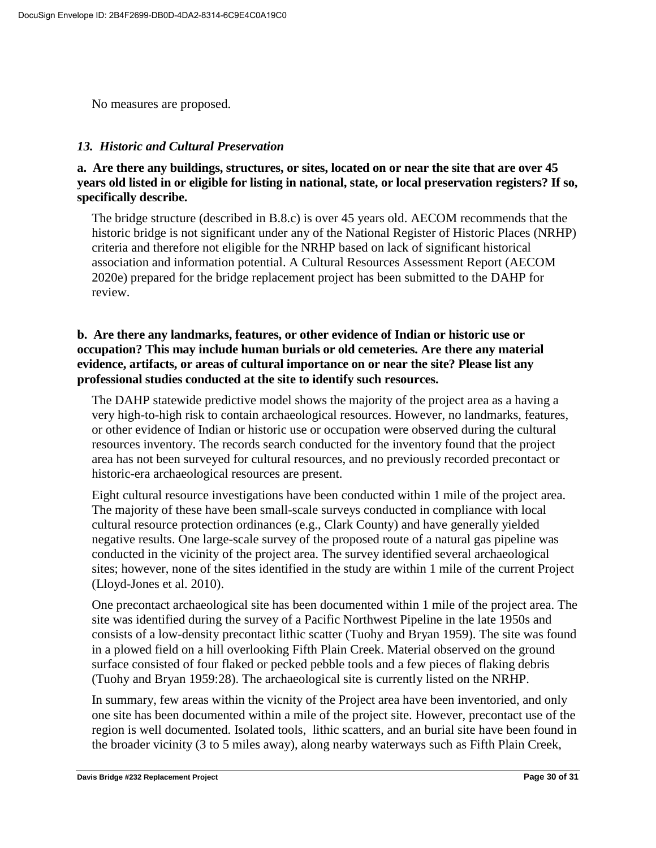No measures are proposed.

### *13. Historic and Cultural Preservation*

**a. Are there any buildings, structures, or sites, located on or near the site that are over 45 years old listed in or eligible for listing in national, state, or local preservation registers? If so, specifically describe.**

The bridge structure (described in B.8.c) is over 45 years old. AECOM recommends that the historic bridge is not significant under any of the National Register of Historic Places (NRHP) criteria and therefore not eligible for the NRHP based on lack of significant historical association and information potential. A Cultural Resources Assessment Report (AECOM 2020e) prepared for the bridge replacement project has been submitted to the DAHP for review.

### **b. Are there any landmarks, features, or other evidence of Indian or historic use or occupation? This may include human burials or old cemeteries. Are there any material evidence, artifacts, or areas of cultural importance on or near the site? Please list any professional studies conducted at the site to identify such resources.**

The DAHP statewide predictive model shows the majority of the project area as a having a very high-to-high risk to contain archaeological resources. However, no landmarks, features, or other evidence of Indian or historic use or occupation were observed during the cultural resources inventory. The records search conducted for the inventory found that the project area has not been surveyed for cultural resources, and no previously recorded precontact or historic-era archaeological resources are present.

Eight cultural resource investigations have been conducted within 1 mile of the project area. The majority of these have been small-scale surveys conducted in compliance with local cultural resource protection ordinances (e.g., Clark County) and have generally yielded negative results. One large-scale survey of the proposed route of a natural gas pipeline was conducted in the vicinity of the project area. The survey identified several archaeological sites; however, none of the sites identified in the study are within 1 mile of the current Project (Lloyd-Jones et al. 2010).

One precontact archaeological site has been documented within 1 mile of the project area. The site was identified during the survey of a Pacific Northwest Pipeline in the late 1950s and consists of a low-density precontact lithic scatter (Tuohy and Bryan 1959). The site was found in a plowed field on a hill overlooking Fifth Plain Creek. Material observed on the ground surface consisted of four flaked or pecked pebble tools and a few pieces of flaking debris (Tuohy and Bryan 1959:28). The archaeological site is currently listed on the NRHP.

In summary, few areas within the vicnity of the Project area have been inventoried, and only one site has been documented within a mile of the project site. However, precontact use of the region is well documented. Isolated tools, lithic scatters, and an burial site have been found in the broader vicinity (3 to 5 miles away), along nearby waterways such as Fifth Plain Creek,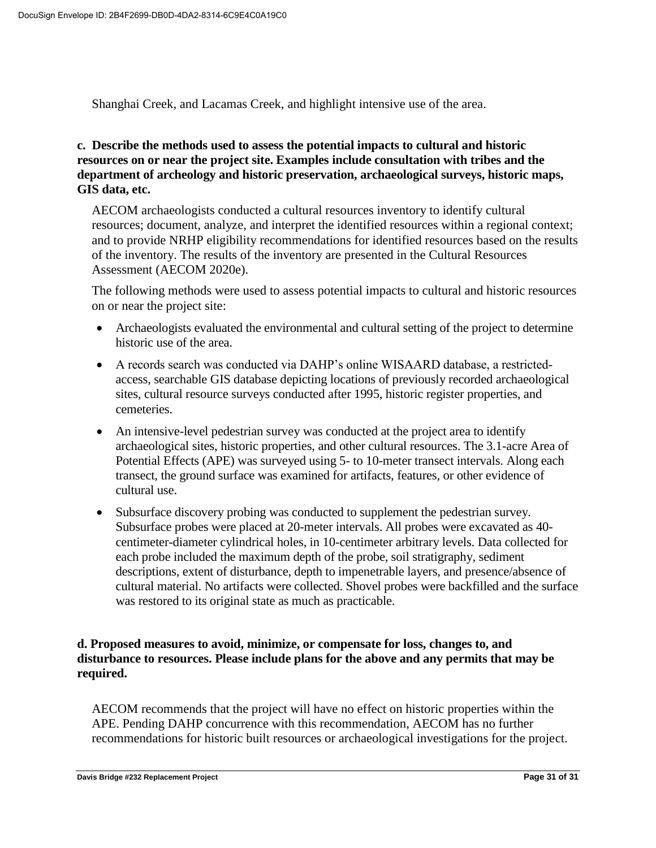Shanghai Creek, and Lacamas Creek, and highlight intensive use of the area.

### **c. Describe the methods used to assess the potential impacts to cultural and historic resources on or near the project site. Examples include consultation with tribes and the department of archeology and historic preservation, archaeological surveys, historic maps, GIS data, etc.**

AECOM archaeologists conducted a cultural resources inventory to identify cultural resources; document, analyze, and interpret the identified resources within a regional context; and to provide NRHP eligibility recommendations for identified resources based on the results of the inventory. The results of the inventory are presented in the Cultural Resources Assessment (AECOM 2020e).

The following methods were used to assess potential impacts to cultural and historic resources on or near the project site:

- Archaeologists evaluated the environmental and cultural setting of the project to determine historic use of the area.
- A records search was conducted via DAHP's online WISAARD database, a restrictedaccess, searchable GIS database depicting locations of previously recorded archaeological sites, cultural resource surveys conducted after 1995, historic register properties, and cemeteries.
- An intensive-level pedestrian survey was conducted at the project area to identify archaeological sites, historic properties, and other cultural resources. The 3.1-acre Area of Potential Effects (APE) was surveyed using 5- to 10-meter transect intervals. Along each transect, the ground surface was examined for artifacts, features, or other evidence of cultural use.
- Subsurface discovery probing was conducted to supplement the pedestrian survey. Subsurface probes were placed at 20-meter intervals. All probes were excavated as 40 centimeter-diameter cylindrical holes, in 10-centimeter arbitrary levels. Data collected for each probe included the maximum depth of the probe, soil stratigraphy, sediment descriptions, extent of disturbance, depth to impenetrable layers, and presence/absence of cultural material. No artifacts were collected. Shovel probes were backfilled and the surface was restored to its original state as much as practicable.

### **d. Proposed measures to avoid, minimize, or compensate for loss, changes to, and disturbance to resources. Please include plans for the above and any permits that may be required.**

AECOM recommends that the project will have no effect on historic properties within the APE. Pending DAHP concurrence with this recommendation, AECOM has no further recommendations for historic built resources or archaeological investigations for the project.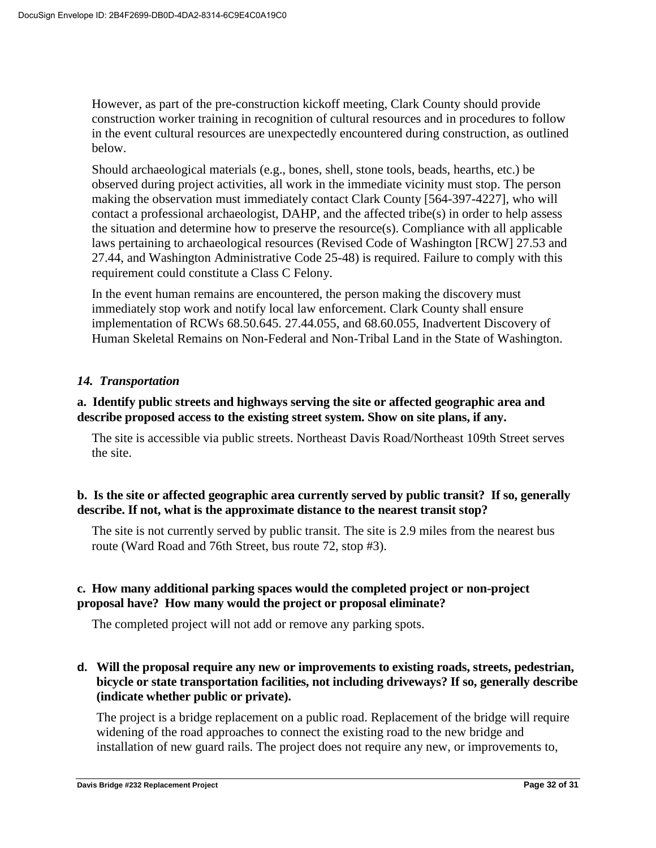However, as part of the pre-construction kickoff meeting, Clark County should provide construction worker training in recognition of cultural resources and in procedures to follow in the event cultural resources are unexpectedly encountered during construction, as outlined below.

Should archaeological materials (e.g., bones, shell, stone tools, beads, hearths, etc.) be observed during project activities, all work in the immediate vicinity must stop. The person making the observation must immediately contact Clark County [564-397-4227], who will contact a professional archaeologist, DAHP, and the affected tribe(s) in order to help assess the situation and determine how to preserve the resource(s). Compliance with all applicable laws pertaining to archaeological resources (Revised Code of Washington [RCW] 27.53 and 27.44, and Washington Administrative Code 25-48) is required. Failure to comply with this requirement could constitute a Class C Felony.

In the event human remains are encountered, the person making the discovery must immediately stop work and notify local law enforcement. Clark County shall ensure implementation of RCWs 68.50.645. 27.44.055, and 68.60.055, Inadvertent Discovery of Human Skeletal Remains on Non-Federal and Non-Tribal Land in the State of Washington.

### *14. Transportation*

### **a. Identify public streets and highways serving the site or affected geographic area and describe proposed access to the existing street system. Show on site plans, if any.**

The site is accessible via public streets. Northeast Davis Road/Northeast 109th Street serves the site.

### **b. Is the site or affected geographic area currently served by public transit? If so, generally describe. If not, what is the approximate distance to the nearest transit stop?**

The site is not currently served by public transit. The site is 2.9 miles from the nearest bus route (Ward Road and 76th Street, bus route 72, stop #3).

### **c. How many additional parking spaces would the completed project or non-project proposal have? How many would the project or proposal eliminate?**

The completed project will not add or remove any parking spots.

### **d. Will the proposal require any new or improvements to existing roads, streets, pedestrian, bicycle or state transportation facilities, not including driveways? If so, generally describe (indicate whether public or private).**

The project is a bridge replacement on a public road. Replacement of the bridge will require widening of the road approaches to connect the existing road to the new bridge and installation of new guard rails. The project does not require any new, or improvements to,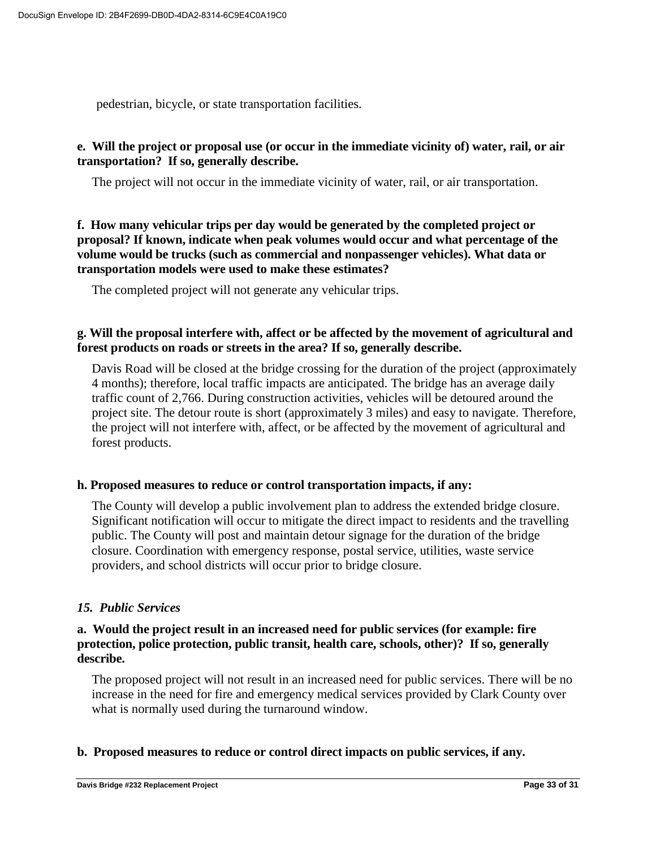pedestrian, bicycle, or state transportation facilities.

### **e. Will the project or proposal use (or oc[cur in the immediate vicinity of\) water, rail, or air](https://ecology.wa.gov/Regulations-Permits/SEPA/Environmental-review/SEPA-guidance/Checklist-guidance#14. Transportation)  transportation? If so, generally describe.**

The project will not occur in the immediate vicinity of water, rail, or air transportation.

**f. How many vehicular trips per day would be generated by the completed project or proposal? If known, indicate when peak volumes would occur and what percentage of the volume would be trucks (such as commercial and nonpassenger vehicles). What data or transportation models were used to make these estimates?**

The completed project will not generate any vehicular trips.

### **g. Will the proposal interfere with, affect or be affected by the movement of agricultural and forest products on roads or streets in the area? If so, generally describe.**

Davis Road will be closed at the bridge crossing for the duration of the project (approximately 4 months); therefore, local traffic impacts are anticipated. The bridge has an average daily traffic count of 2,766. During construction activities, vehicles will be detoured around the project site. The detour route is short (approximately 3 miles) and easy to navigate. Therefore, the project will not interfere with, affect, or be affected by the movement of agricultural and forest products.

#### **h. Proposed measures to reduce or control transportation impacts, if any:**

The County will develop a public involvement plan to address the extended bridge closure. Significant notification will occur to mitigate the direct impact to residents and the travelling public. The County will post and maintain detour signage for the duration of the bridge closure. Coordination with emergency response, postal service, utilities, waste service providers, and school districts will occur prior to bridge closure.

### *15. Public Services*

### **a. Would the project result in an increased need for public services (for example: fire protection, police protection, public transit, health care, schools, other)? If so, generally describe.**

The proposed project will not result in an increased need for public services. There will be no increase in the need for fire and emergency medical services provided by Clark County over what is normally used during the turnaround window.

#### **b. Proposed measures to reduce or control direct impacts on public services, if any.**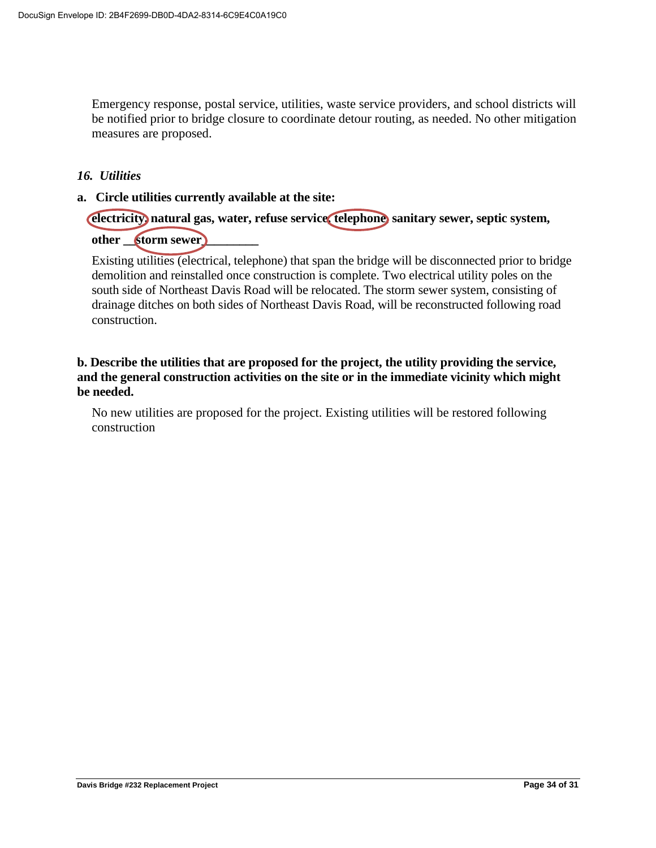Emergency response, postal service, utilities, waste service providers, and school districts will be notified prior to bridge closure to coordinate detour routing, as needed. No other mitigation measures are proposed.

#### *16. Utilities*

**a. Circle utilities currently available at the site:** 

## **electricity, natural gas, water, refuse service, telephone, sanitary sewer, septic system, other \_\_storm sewer\_\_\_\_\_\_\_\_\_**

Existing utilities (electrical, telephone) that span the bridge will be disconnected prior to bridge demolition and reinstalled once construction is complete. Two electrical utility poles on the south side of Northeast Davis Road will be relocated. The storm sewer system, consisting of drainage ditches on both sides of Northeast Davis Road, will be reconstructed following road construction.

### **b. Describe the utilities that are proposed for the project, the utility providing the service, and the general construction activities on the site or in the immediate vicinity which might be needed.**

No new utilities are proposed for the project. Existing utilities will be restored following construction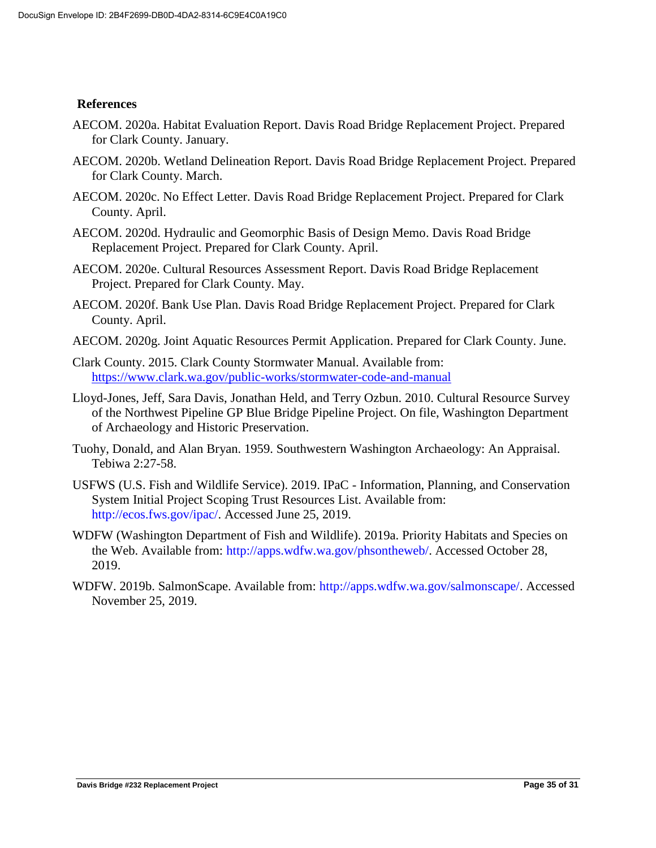#### **References**

- AECOM. 2020a. Habitat Evaluation Report. Davis Road Bridge Replacement Project. Prepared for Clark County. January.
- AECOM. 2020b. Wetland Delineation Report. Davis Road Bridge Replacement Project. Prepared for Clark County. March.
- AECOM. 2020c. No Effect Letter. Davis Road Bridge Replacement Project. Prepared for Clark County. April.
- AECOM. 2020d. Hydraulic and Geomorphic Basis of Design Memo. Davis Road Bridge Replacement Project. Prepared for Clark County. April.
- AECOM. 2020e. Cultural Resources Assessment Report. Davis Road Bridge Replacement Project. Prepared for Clark County. May.
- AECOM. 2020f. Bank Use Plan. Davis Road Bridge Replacement Project. Prepared for Clark County. April.
- AECOM. 2020g. Joint Aquatic Resources Permit Application. Prepared for Clark County. June.
- Clark County. 2015. Clark County Stormwater Manual. Available from: <https://www.clark.wa.gov/public-works/stormwater-code-and-manual>
- Lloyd-Jones, Jeff, Sara Davis, Jonathan Held, and Terry Ozbun. 2010. Cultural Resource Survey of the Northwest Pipeline GP Blue Bridge Pipeline Project. On file, Washington Department of Archaeology and Historic Preservation.
- Tuohy, Donald, and Alan Bryan. 1959. Southwestern Washington Archaeology: An Appraisal. Tebiwa 2:27-58.
- USFWS (U.S. Fish and Wildlife Service). 2019. IPaC Information, Planning, and Conservation System Initial Project Scoping Trust Resources List. Available from: http://ecos.fws.gov/ipac/. Accessed June 25, 2019.
- WDFW (Washington Department of Fish and Wildlife). 2019a. Priority Habitats and Species on the Web. Available from: http://apps.wdfw.wa.gov/phsontheweb/. Accessed October 28, 2019.
- WDFW. 2019b. SalmonScape. Available from: http://apps.wdfw.wa.gov/salmonscape/. Accessed November 25, 2019.